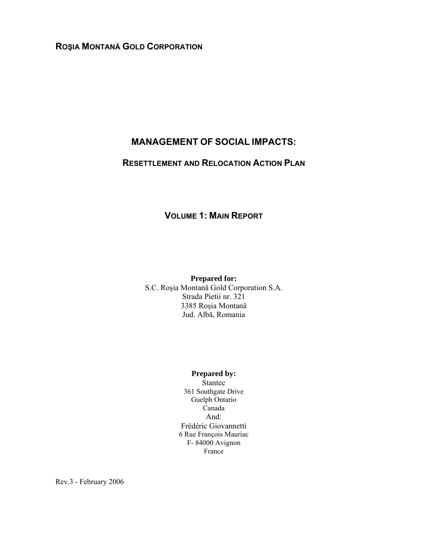# **ROŞIA MONTANĂ GOLD CORPORATION**

# **MANAGEMENT OF SOCIAL IMPACTS:**

## **RESETTLEMENT AND RELOCATION ACTION PLAN**

# **VOLUME 1: MAIN REPORT**

**Prepared for:**  S.C. Roşia Montană Gold Corporation S.A. Strada Pietii nr. 321 3385 Roşia Montană Jud. Albă, Romania

#### **Prepared by:**

Stantec 361 Southgate Drive Guelph Ontario Canada And: Frédéric Giovannetti 6 Rue François Mauriac F- 84000 Avignon France

Rev.3 - February 2006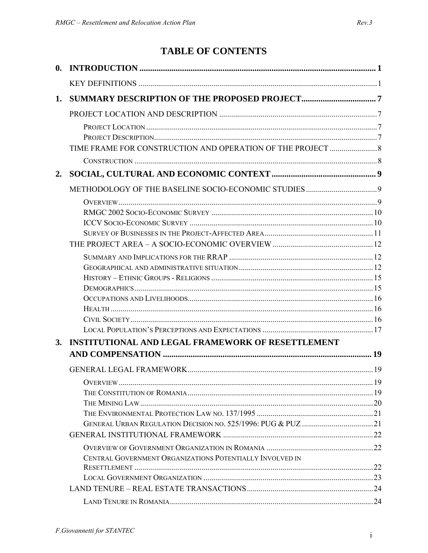# TABLE OF CONTENTS

| $\mathbf{0}$ . |                                                          |  |
|----------------|----------------------------------------------------------|--|
|                |                                                          |  |
| 1.             |                                                          |  |
|                |                                                          |  |
|                |                                                          |  |
|                |                                                          |  |
|                |                                                          |  |
|                |                                                          |  |
| 2.             |                                                          |  |
|                |                                                          |  |
|                |                                                          |  |
|                |                                                          |  |
|                |                                                          |  |
|                |                                                          |  |
|                |                                                          |  |
|                |                                                          |  |
|                |                                                          |  |
|                |                                                          |  |
|                |                                                          |  |
|                |                                                          |  |
|                |                                                          |  |
|                |                                                          |  |
| 3.             | <b>INSTITUTIONAL AND LEGAL FRAMEWORK OF RESETTLEMENT</b> |  |
|                |                                                          |  |
|                |                                                          |  |
|                |                                                          |  |
|                |                                                          |  |
|                |                                                          |  |
|                |                                                          |  |
|                |                                                          |  |
|                |                                                          |  |
|                | CENTRAL GOVERNMENT ORGANIZATIONS POTENTIALLY INVOLVED IN |  |
|                |                                                          |  |
|                |                                                          |  |
|                |                                                          |  |
|                |                                                          |  |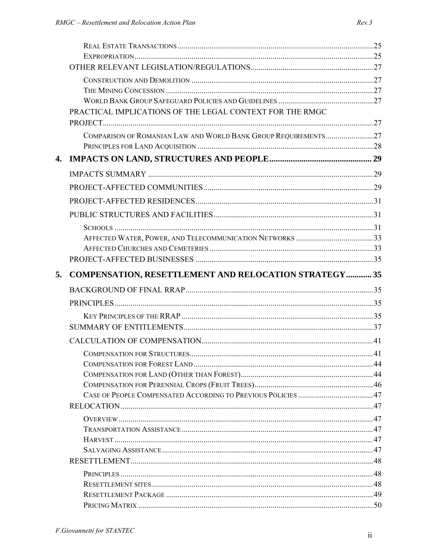|              | PRACTICAL IMPLICATIONS OF THE LEGAL CONTEXT FOR THE RMGC       |  |
|--------------|----------------------------------------------------------------|--|
|              |                                                                |  |
|              | COMPARISON OF ROMANIAN LAW AND WORLD BANK GROUP REQUIREMENTS27 |  |
|              |                                                                |  |
| $\mathbf{4}$ |                                                                |  |
|              |                                                                |  |
|              |                                                                |  |
|              |                                                                |  |
|              |                                                                |  |
|              |                                                                |  |
|              |                                                                |  |
|              |                                                                |  |
|              |                                                                |  |
| 5.           | COMPENSATION, RESETTLEMENT AND RELOCATION STRATEGY  35         |  |
|              |                                                                |  |
|              |                                                                |  |
|              |                                                                |  |
|              |                                                                |  |
|              |                                                                |  |
|              |                                                                |  |
|              |                                                                |  |
|              |                                                                |  |
|              |                                                                |  |
|              |                                                                |  |
|              |                                                                |  |
|              |                                                                |  |
|              |                                                                |  |
|              |                                                                |  |
|              |                                                                |  |
|              |                                                                |  |
|              |                                                                |  |
|              |                                                                |  |
|              |                                                                |  |
|              |                                                                |  |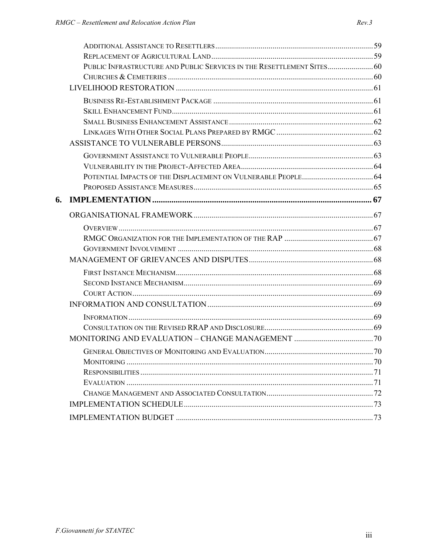|    | PUBLIC INFRASTRUCTURE AND PUBLIC SERVICES IN THE RESETTLEMENT SITES 60 |  |
|----|------------------------------------------------------------------------|--|
|    |                                                                        |  |
|    |                                                                        |  |
|    |                                                                        |  |
|    |                                                                        |  |
|    |                                                                        |  |
|    |                                                                        |  |
|    |                                                                        |  |
|    |                                                                        |  |
|    |                                                                        |  |
|    |                                                                        |  |
|    |                                                                        |  |
| 6. |                                                                        |  |
|    |                                                                        |  |
|    |                                                                        |  |
|    |                                                                        |  |
|    |                                                                        |  |
|    |                                                                        |  |
|    |                                                                        |  |
|    |                                                                        |  |
|    |                                                                        |  |
|    |                                                                        |  |
|    |                                                                        |  |
|    |                                                                        |  |
|    |                                                                        |  |
|    |                                                                        |  |
|    |                                                                        |  |
|    |                                                                        |  |
|    |                                                                        |  |
|    |                                                                        |  |
|    |                                                                        |  |
|    |                                                                        |  |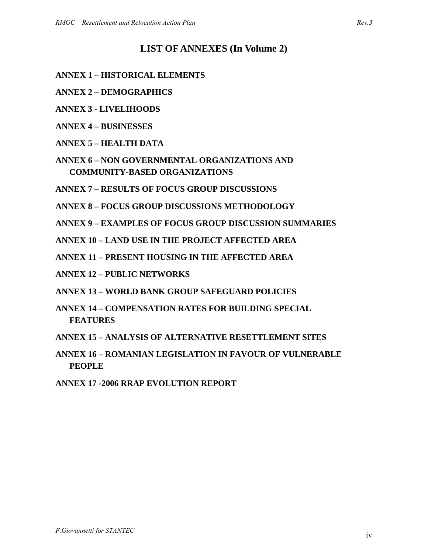# **LIST OF ANNEXES (In Volume 2)**

- **ANNEX 1 HISTORICAL ELEMENTS**
- **ANNEX 2 DEMOGRAPHICS**
- **ANNEX 3 LIVELIHOODS**
- **ANNEX 4 BUSINESSES**
- **ANNEX 5 HEALTH DATA**
- **ANNEX 6 NON GOVERNMENTAL ORGANIZATIONS AND COMMUNITY-BASED ORGANIZATIONS**
- **ANNEX 7 RESULTS OF FOCUS GROUP DISCUSSIONS**
- **ANNEX 8 FOCUS GROUP DISCUSSIONS METHODOLOGY**
- **ANNEX 9 EXAMPLES OF FOCUS GROUP DISCUSSION SUMMARIES**
- **ANNEX 10 LAND USE IN THE PROJECT AFFECTED AREA**
- **ANNEX 11 PRESENT HOUSING IN THE AFFECTED AREA**
- **ANNEX 12 PUBLIC NETWORKS**
- **ANNEX 13 WORLD BANK GROUP SAFEGUARD POLICIES**
- **ANNEX 14 COMPENSATION RATES FOR BUILDING SPECIAL FEATURES**
- **ANNEX 15 ANALYSIS OF ALTERNATIVE RESETTLEMENT SITES**
- **ANNEX 16 ROMANIAN LEGISLATION IN FAVOUR OF VULNERABLE PEOPLE**
- **ANNEX 17 -2006 RRAP EVOLUTION REPORT**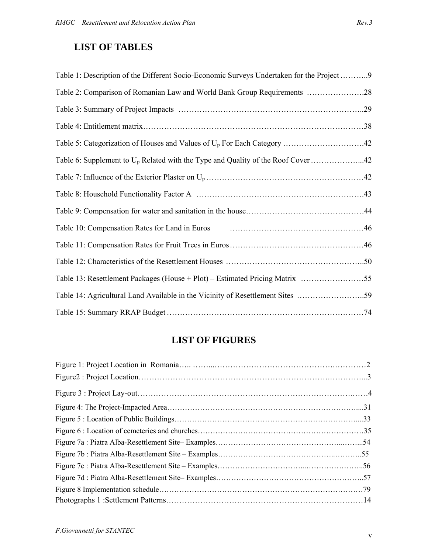# **LIST OF TABLES**

| Table 1: Description of the Different Socio-Economic Surveys Undertaken for the Project9                                     |
|------------------------------------------------------------------------------------------------------------------------------|
| Table 2: Comparison of Romanian Law and World Bank Group Requirements 28                                                     |
|                                                                                                                              |
|                                                                                                                              |
|                                                                                                                              |
| Table 6: Supplement to $U_p$ Related with the Type and Quality of the Roof Cover 42                                          |
|                                                                                                                              |
|                                                                                                                              |
|                                                                                                                              |
| Table 10: Compensation Rates for Land in Euros <b>Fig. 10.13.12.13.13.146</b> Table 10: Compensation Rates for Land in Euros |
|                                                                                                                              |
|                                                                                                                              |
| Table 13: Resettlement Packages (House + Plot) – Estimated Pricing Matrix 55                                                 |
| Table 14: Agricultural Land Available in the Vicinity of Resettlement Sites 59                                               |
|                                                                                                                              |

# **LIST OF FIGURES**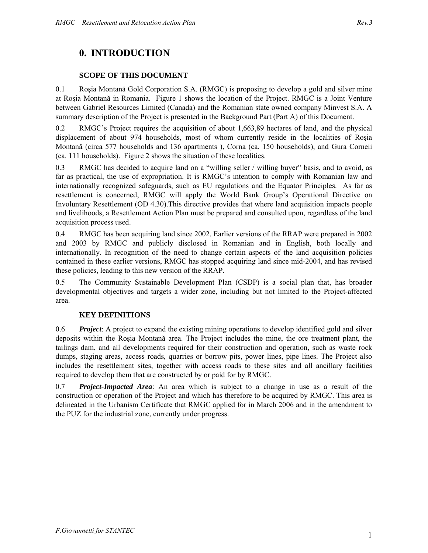# **0. INTRODUCTION**

## **SCOPE OF THIS DOCUMENT**

0.1 Roşia Montană Gold Corporation S.A. (RMGC) is proposing to develop a gold and silver mine at Roşia Montană in Romania. Figure 1 shows the location of the Project. RMGC is a Joint Venture between Gabriel Resources Limited (Canada) and the Romanian state owned company Minvest S.A. A summary description of the Project is presented in the Background Part (Part A) of this Document.

0.2 RMGC's Project requires the acquisition of about 1,663,89 hectares of land, and the physical displacement of about 974 households, most of whom currently reside in the localities of Roşia Montană (circa 577 households and 136 apartments ), Corna (ca. 150 households), and Gura Corneii (ca. 111 households). Figure 2 shows the situation of these localities.

0.3 RMGC has decided to acquire land on a "willing seller / willing buyer" basis, and to avoid, as far as practical, the use of expropriation. It is RMGC's intention to comply with Romanian law and internationally recognized safeguards, such as EU regulations and the Equator Principles. As far as resettlement is concerned, RMGC will apply the World Bank Group's Operational Directive on Involuntary Resettlement (OD 4.30).This directive provides that where land acquisition impacts people and livelihoods, a Resettlement Action Plan must be prepared and consulted upon, regardless of the land acquisition process used.

0.4 RMGC has been acquiring land since 2002. Earlier versions of the RRAP were prepared in 2002 and 2003 by RMGC and publicly disclosed in Romanian and in English, both locally and internationally. In recognition of the need to change certain aspects of the land acquisition policies contained in these earlier versions, RMGC has stopped acquiring land since mid-2004, and has revised these policies, leading to this new version of the RRAP.

0.5 The Community Sustainable Development Plan (CSDP) is a social plan that, has broader developmental objectives and targets a wider zone, including but not limited to the Project-affected area.

## **KEY DEFINITIONS**

0.6 *Project*: A project to expand the existing mining operations to develop identified gold and silver deposits within the Roşia Montană area. The Project includes the mine, the ore treatment plant, the tailings dam, and all developments required for their construction and operation, such as waste rock dumps, staging areas, access roads, quarries or borrow pits, power lines, pipe lines. The Project also includes the resettlement sites, together with access roads to these sites and all ancillary facilities required to develop them that are constructed by or paid for by RMGC.

0.7 *Project-Impacted Area*: An area which is subject to a change in use as a result of the construction or operation of the Project and which has therefore to be acquired by RMGC. This area is delineated in the Urbanism Certificate that RMGC applied for in March 2006 and in the amendment to the PUZ for the industrial zone, currently under progress.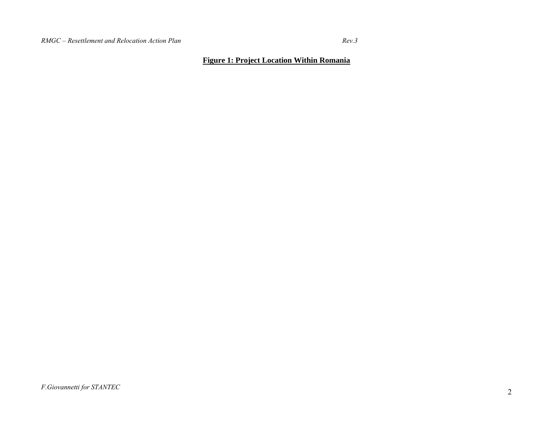$Rev.3$ 

## **Figure 1: Project Location Within Romania**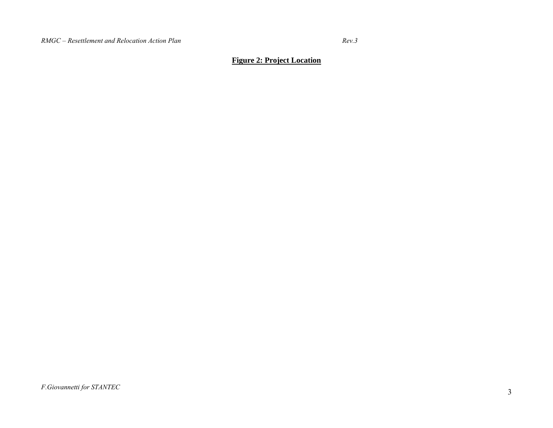$Rev.3$ 

## **Figure 2: Project Location**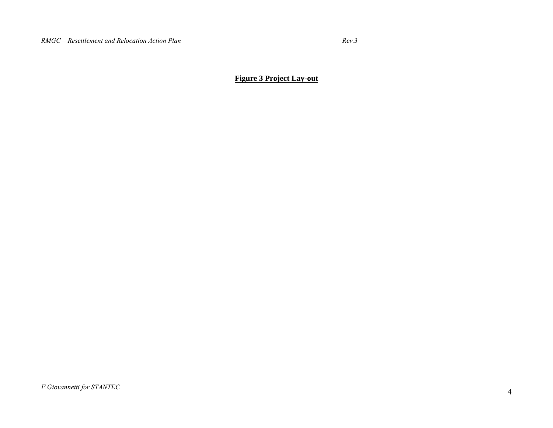**Figure 3 Project Lay-out**

*F.Giovannetti for STANTEC*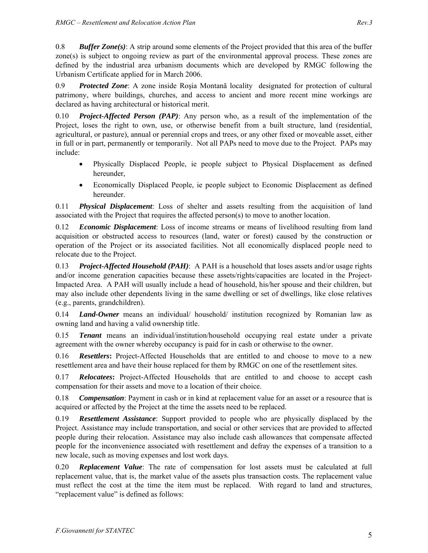0.8 *Buffer Zone(s)*: A strip around some elements of the Project provided that this area of the buffer zone(s) is subject to ongoing review as part of the environmental approval process. These zones are defined by the industrial area urbanism documents which are developed by RMGC following the Urbanism Certificate applied for in March 2006.

0.9 *Protected Zone*: A zone inside Roşia Montană locality designated for protection of cultural patrimony, where buildings, churches, and access to ancient and more recent mine workings are declared as having architectural or historical merit.

0.10 *Project-Affected Person (PAP)*: Any person who, as a result of the implementation of the Project, loses the right to own, use, or otherwise benefit from a built structure, land (residential, agricultural, or pasture), annual or perennial crops and trees, or any other fixed or moveable asset, either in full or in part, permanently or temporarily. Not all PAPs need to move due to the Project. PAPs may include:

- Physically Displaced People, ie people subject to Physical Displacement as defined hereunder,
- Economically Displaced People, ie people subject to Economic Displacement as defined hereunder.

0.11 *Physical Displacement*: Loss of shelter and assets resulting from the acquisition of land associated with the Project that requires the affected person(s) to move to another location.

0.12 *Economic Displacement*: Loss of income streams or means of livelihood resulting from land acquisition or obstructed access to resources (land, water or forest) caused by the construction or operation of the Project or its associated facilities. Not all economically displaced people need to relocate due to the Project.

0.13 *Project-Affected Household (PAH)*: A PAH is a household that loses assets and/or usage rights and/or income generation capacities because these assets/rights/capacities are located in the Project-Impacted Area. A PAH will usually include a head of household, his/her spouse and their children, but may also include other dependents living in the same dwelling or set of dwellings, like close relatives (e.g., parents, grandchildren).

0.14 *Land-Owner* means an individual/ household/ institution recognized by Romanian law as owning land and having a valid ownership title.

0.15 *Tenant* means an individual/institution/household occupying real estate under a private agreement with the owner whereby occupancy is paid for in cash or otherwise to the owner.

0.16 *Resettlers***:** Project-Affected Households that are entitled to and choose to move to a new resettlement area and have their house replaced for them by RMGC on one of the resettlement sites.

0.17 *Relocatees***:** Project-Affected Households that are entitled to and choose to accept cash compensation for their assets and move to a location of their choice.

0.18 *Compensation*: Payment in cash or in kind at replacement value for an asset or a resource that is acquired or affected by the Project at the time the assets need to be replaced.

0.19 *Resettlement Assistance*: Support provided to people who are physically displaced by the Project. Assistance may include transportation, and social or other services that are provided to affected people during their relocation. Assistance may also include cash allowances that compensate affected people for the inconvenience associated with resettlement and defray the expenses of a transition to a new locale, such as moving expenses and lost work days.

0.20 *Replacement Value*: The rate of compensation for lost assets must be calculated at full replacement value, that is, the market value of the assets plus transaction costs. The replacement value must reflect the cost at the time the item must be replaced. With regard to land and structures, "replacement value" is defined as follows: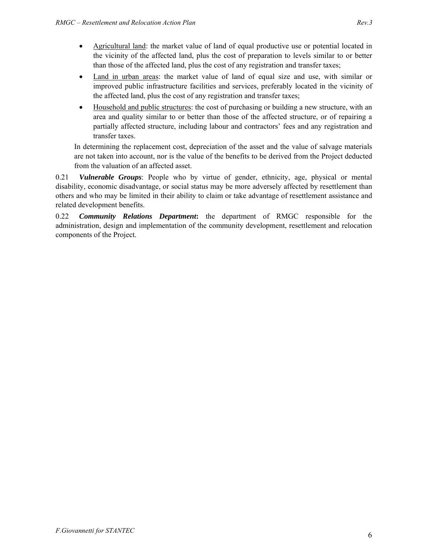- Agricultural land: the market value of land of equal productive use or potential located in the vicinity of the affected land, plus the cost of preparation to levels similar to or better than those of the affected land, plus the cost of any registration and transfer taxes;
- Land in urban areas: the market value of land of equal size and use, with similar or improved public infrastructure facilities and services, preferably located in the vicinity of the affected land, plus the cost of any registration and transfer taxes;
- Household and public structures: the cost of purchasing or building a new structure, with an area and quality similar to or better than those of the affected structure, or of repairing a partially affected structure, including labour and contractors' fees and any registration and transfer taxes.

In determining the replacement cost, depreciation of the asset and the value of salvage materials are not taken into account, nor is the value of the benefits to be derived from the Project deducted from the valuation of an affected asset.

0.21 *Vulnerable Groups*: People who by virtue of gender, ethnicity, age, physical or mental disability, economic disadvantage, or social status may be more adversely affected by resettlement than others and who may be limited in their ability to claim or take advantage of resettlement assistance and related development benefits.

0.22 *Community Relations Department***:** the department of RMGC responsible for the administration, design and implementation of the community development, resettlement and relocation components of the Project.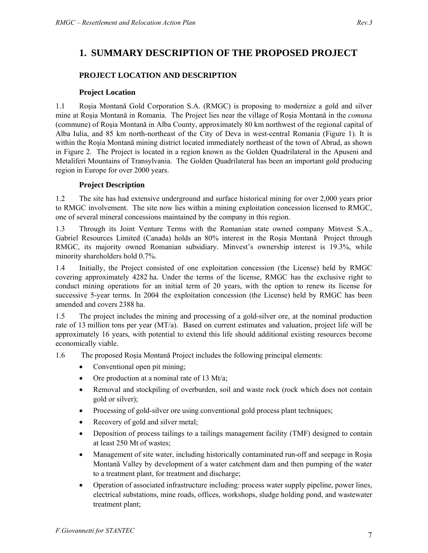## **PROJECT LOCATION AND DESCRIPTION**

#### **Project Location**

1.1 Roşia Montană Gold Corporation S.A. (RMGC) is proposing to modernize a gold and silver mine at Roşia Montană in Romania. The Project lies near the village of Roşia Montană in the *comuna*  (commune) of Roşia Montană in Alba County, approximately 80 km northwest of the regional capital of Alba Iulia, and 85 km north-northeast of the City of Deva in west-central Romania (Figure 1). It is within the Roşia Montană mining district located immediately northeast of the town of Abrud, as shown in Figure 2. The Project is located in a region known as the Golden Quadrilateral in the Apuseni and Metaliferi Mountains of Transylvania. The Golden Quadrilateral has been an important gold producing region in Europe for over 2000 years.

#### **Project Description**

1.2 The site has had extensive underground and surface historical mining for over 2,000 years prior to RMGC involvement. The site now lies within a mining exploitation concession licensed to RMGC, one of several mineral concessions maintained by the company in this region.

1.3 Through its Joint Venture Terms with the Romanian state owned company Minvest S.A., Gabriel Resources Limited (Canada) holds an 80% interest in the Roşia Montană Project through RMGC, its majority owned Romanian subsidiary. Minvest's ownership interest is 19.3%, while minority shareholders hold 0.7%.

1.4 Initially, the Project consisted of one exploitation concession (the License) held by RMGC covering approximately 4282 ha. Under the terms of the license, RMGC has the exclusive right to conduct mining operations for an initial term of 20 years, with the option to renew its license for successive 5-year terms. In 2004 the exploitation concession (the License) held by RMGC has been amended and covers 2388 ha.

1.5 The project includes the mining and processing of a gold-silver ore, at the nominal production rate of 13 million tons per year (MT/a). Based on current estimates and valuation, project life will be approximately 16 years, with potential to extend this life should additional existing resources become economically viable.

1.6 The proposed Roşia Montană Project includes the following principal elements:

- Conventional open pit mining;
- Ore production at a nominal rate of 13 Mt/a;
- Removal and stockpiling of overburden, soil and waste rock (rock which does not contain gold or silver);
- Processing of gold-silver ore using conventional gold process plant techniques;
- Recovery of gold and silver metal;
- Deposition of process tailings to a tailings management facility (TMF) designed to contain at least 250 Mt of wastes;
- Management of site water, including historically contaminated run-off and seepage in Roşia Montană Valley by development of a water catchment dam and then pumping of the water to a treatment plant, for treatment and discharge;
- Operation of associated infrastructure including: process water supply pipeline, power lines, electrical substations, mine roads, offices, workshops, sludge holding pond, and wastewater treatment plant;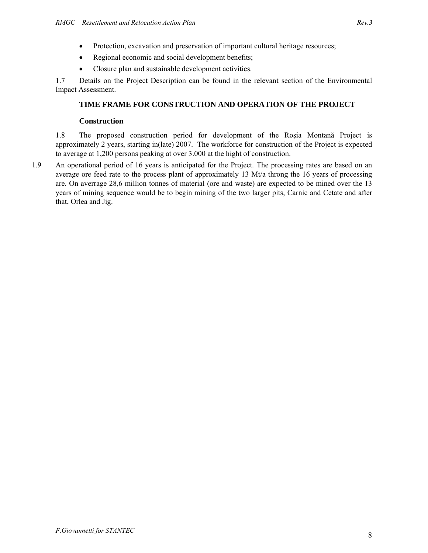- Protection, excavation and preservation of important cultural heritage resources;
- Regional economic and social development benefits;
- Closure plan and sustainable development activities.

1.7 Details on the Project Description can be found in the relevant section of the Environmental Impact Assessment.

## **TIME FRAME FOR CONSTRUCTION AND OPERATION OF THE PROJECT**

#### **Construction**

1.8 The proposed construction period for development of the Roşia Montană Project is approximately 2 years, starting in(late) 2007. The workforce for construction of the Project is expected to average at 1,200 persons peaking at over 3.000 at the hight of construction.

1.9 An operational period of 16 years is anticipated for the Project. The processing rates are based on an average ore feed rate to the process plant of approximately 13 Mt/a throng the 16 years of processing are. On averrage 28,6 million tonnes of material (ore and waste) are expected to be mined over the 13 years of mining sequence would be to begin mining of the two larger pits, Carnic and Cetate and after that, Orlea and Jig.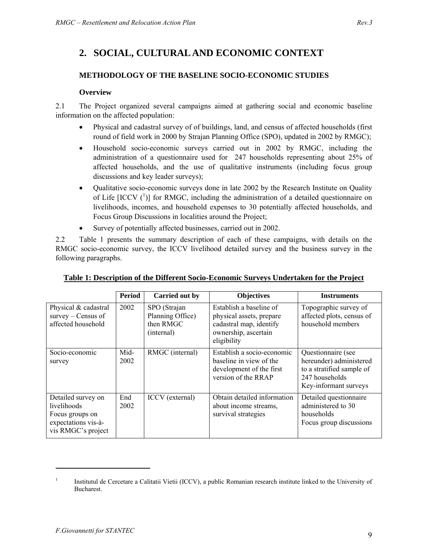# **2. SOCIAL, CULTURAL AND ECONOMIC CONTEXT**

## **METHODOLOGY OF THE BASELINE SOCIO-ECONOMIC STUDIES**

#### **Overview**

2.1 The Project organized several campaigns aimed at gathering social and economic baseline information on the affected population:

- Physical and cadastral survey of of buildings, land, and census of affected households (first round of field work in 2000 by Strajan Planning Office (SPO), updated in 2002 by RMGC);
- Household socio-economic surveys carried out in 2002 by RMGC, including the administration of a questionnaire used for 247 households representing about 25% of affected households, and the use of qualitative instruments (including focus group discussions and key leader surveys);
- Qualitative socio-economic surveys done in late 2002 by the Research Institute on Quality of Life  $[ICCV (1)]$  for RMGC, including the administration of a detailed questionnaire on livelihoods, incomes, and household expenses to 30 potentially affected households, and Focus Group Discussions in localities around the Project;
- Survey of potentially affected businesses, carried out in 2002.

2.2 Table 1 presents the summary description of each of these campaigns, with details on the RMGC socio-economic survey, the ICCV livelihood detailed survey and the business survey in the following paragraphs.

|                                                                                                   | <b>Period</b> | Carried out by                                              | <b>Objectives</b>                                                                                                     | <b>Instruments</b>                                                                                                    |
|---------------------------------------------------------------------------------------------------|---------------|-------------------------------------------------------------|-----------------------------------------------------------------------------------------------------------------------|-----------------------------------------------------------------------------------------------------------------------|
| Physical & cadastral<br>$s$ urvey – Census of<br>affected household                               | 2002          | SPO (Strajan<br>Planning Office)<br>then RMGC<br>(internal) | Establish a baseline of<br>physical assets, prepare<br>cadastral map, identify<br>ownership, ascertain<br>eligibility | Topographic survey of<br>affected plots, census of<br>household members                                               |
| Socio-economic<br>survey                                                                          | Mid-<br>2002  | RMGC (internal)                                             | Establish a socio-economic<br>baseline in view of the<br>development of the first<br>version of the RRAP              | Questionnaire (see<br>hereunder) administered<br>to a stratified sample of<br>247 households<br>Key-informant surveys |
| Detailed survey on<br>livelihoods<br>Focus groups on<br>expectations vis-à-<br>vis RMGC's project | End<br>2002   | ICCV (external)                                             | Obtain detailed information<br>about income streams,<br>survival strategies                                           | Detailed questionnaire<br>administered to 30<br>households<br>Focus group discussions                                 |

| Table 1: Description of the Different Socio-Economic Surveys Undertaken for the Project |  |
|-----------------------------------------------------------------------------------------|--|
|                                                                                         |  |

<sup>1</sup> Institutul de Cercetare a Calitatii Vietii (ICCV), a public Romanian research institute linked to the University of Bucharest.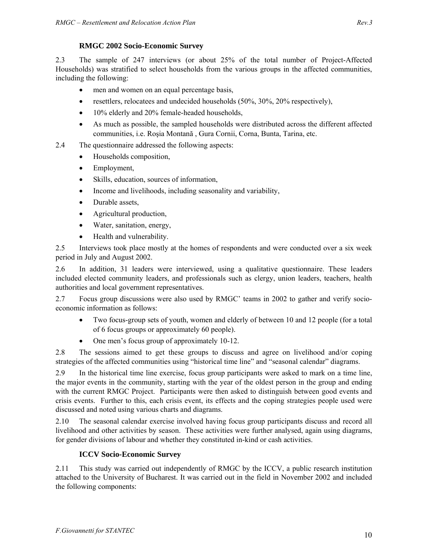#### **RMGC 2002 Socio-Economic Survey**

2.3 The sample of 247 interviews (or about 25% of the total number of Project-Affected Households) was stratified to select households from the various groups in the affected communities, including the following:

- men and women on an equal percentage basis,
- resettlers, relocatees and undecided households  $(50\%, 30\%, 20\%$  respectively),
- 10% elderly and 20% female-headed households,
- As much as possible, the sampled households were distributed across the different affected communities, i.e. Roşia Montană , Gura Cornii, Corna, Bunta, Tarina, etc.
- 2.4 The questionnaire addressed the following aspects:
	- Households composition,
	- Employment,
	- Skills, education, sources of information,
	- Income and livelihoods, including seasonality and variability,
	- Durable assets,
	- Agricultural production,
	- Water, sanitation, energy,
	- Health and vulnerability.

2.5 Interviews took place mostly at the homes of respondents and were conducted over a six week period in July and August 2002.

2.6 In addition, 31 leaders were interviewed, using a qualitative questionnaire. These leaders included elected community leaders, and professionals such as clergy, union leaders, teachers, health authorities and local government representatives.

2.7 Focus group discussions were also used by RMGC' teams in 2002 to gather and verify socioeconomic information as follows:

- Two focus-group sets of youth, women and elderly of between 10 and 12 people (for a total of 6 focus groups or approximately 60 people).
- One men's focus group of approximately 10-12.

2.8 The sessions aimed to get these groups to discuss and agree on livelihood and/or coping strategies of the affected communities using "historical time line" and "seasonal calendar" diagrams.

2.9 In the historical time line exercise, focus group participants were asked to mark on a time line, the major events in the community, starting with the year of the oldest person in the group and ending with the current RMGC Project. Participants were then asked to distinguish between good events and crisis events. Further to this, each crisis event, its effects and the coping strategies people used were discussed and noted using various charts and diagrams.

2.10 The seasonal calendar exercise involved having focus group participants discuss and record all livelihood and other activities by season. These activities were further analysed, again using diagrams, for gender divisions of labour and whether they constituted in-kind or cash activities.

## **ICCV Socio-Economic Survey**

2.11 This study was carried out independently of RMGC by the ICCV, a public research institution attached to the University of Bucharest. It was carried out in the field in November 2002 and included the following components: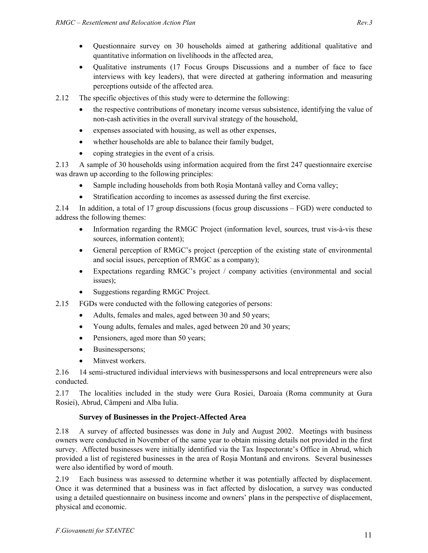- Questionnaire survey on 30 households aimed at gathering additional qualitative and quantitative information on livelihoods in the affected area,
- Qualitative instruments (17 Focus Groups Discussions and a number of face to face interviews with key leaders), that were directed at gathering information and measuring perceptions outside of the affected area.
- 2.12 The specific objectives of this study were to determine the following:
	- the respective contributions of monetary income versus subsistence, identifying the value of non-cash activities in the overall survival strategy of the household,
	- expenses associated with housing, as well as other expenses,
	- whether households are able to balance their family budget,
	- coping strategies in the event of a crisis.

2.13 A sample of 30 households using information acquired from the first 247 questionnaire exercise was drawn up according to the following principles:

- Sample including households from both Rosia Montană valley and Corna valley;
- Stratification according to incomes as assessed during the first exercise.

2.14 In addition, a total of 17 group discussions (focus group discussions – FGD) were conducted to address the following themes:

- Information regarding the RMGC Project (information level, sources, trust vis-à-vis these sources, information content);
- General perception of RMGC's project (perception of the existing state of environmental and social issues, perception of RMGC as a company);
- Expectations regarding RMGC's project / company activities (environmental and social issues);
- Suggestions regarding RMGC Project.
- 2.15 FGDs were conducted with the following categories of persons:
	- Adults, females and males, aged between 30 and 50 years;
	- Young adults, females and males, aged between 20 and 30 years;
	- Pensioners, aged more than 50 years;
	- Businesspersons;
	- Minvest workers.

2.16 14 semi-structured individual interviews with businesspersons and local entrepreneurs were also conducted.

2.17 The localities included in the study were Gura Rosiei, Daroaia (Roma community at Gura Rosiei), Abrud, Câmpeni and Alba Iulia.

## **Survey of Businesses in the Project-Affected Area**

2.18 A survey of affected businesses was done in July and August 2002. Meetings with business owners were conducted in November of the same year to obtain missing details not provided in the first survey. Affected businesses were initially identified via the Tax Inspectorate's Office in Abrud, which provided a list of registered businesses in the area of Roşia Montană and environs. Several businesses were also identified by word of mouth.

2.19 Each business was assessed to determine whether it was potentially affected by displacement. Once it was determined that a business was in fact affected by dislocation, a survey was conducted using a detailed questionnaire on business income and owners' plans in the perspective of displacement, physical and economic.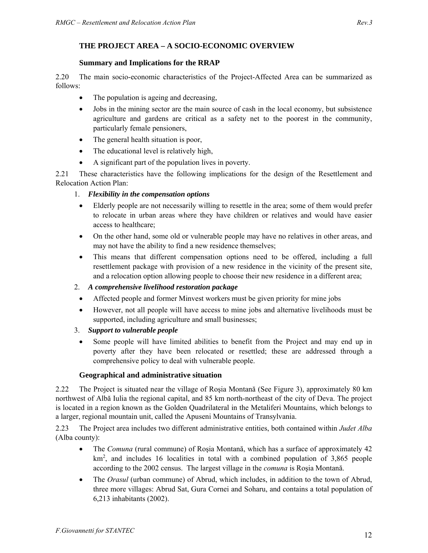#### **Summary and Implications for the RRAP**

2.20 The main socio-economic characteristics of the Project-Affected Area can be summarized as follows:

- The population is ageing and decreasing,
- Jobs in the mining sector are the main source of cash in the local economy, but subsistence agriculture and gardens are critical as a safety net to the poorest in the community, particularly female pensioners,
- The general health situation is poor,
- The educational level is relatively high,
- A significant part of the population lives in poverty.

2.21 These characteristics have the following implications for the design of the Resettlement and Relocation Action Plan:

## 1. *Flexibility in the compensation options*

- Elderly people are not necessarily willing to resettle in the area; some of them would prefer to relocate in urban areas where they have children or relatives and would have easier access to healthcare;
- On the other hand, some old or vulnerable people may have no relatives in other areas, and may not have the ability to find a new residence themselves;
- This means that different compensation options need to be offered, including a full resettlement package with provision of a new residence in the vicinity of the present site, and a relocation option allowing people to choose their new residence in a different area;

## 2. *A comprehensive livelihood restoration package*

- Affected people and former Minvest workers must be given priority for mine jobs
- However, not all people will have access to mine jobs and alternative livelihoods must be supported, including agriculture and small businesses;

## 3. *Support to vulnerable people*

Some people will have limited abilities to benefit from the Project and may end up in poverty after they have been relocated or resettled; these are addressed through a comprehensive policy to deal with vulnerable people.

## **Geographical and administrative situation**

2.22 The Project is situated near the village of Roşia Montană (See Figure 3), approximately 80 km northwest of Albă Iulia the regional capital, and 85 km north-northeast of the city of Deva. The project is located in a region known as the Golden Quadrilateral in the Metaliferi Mountains, which belongs to a larger, regional mountain unit, called the Apuseni Mountains of Transylvania.

2.23 The Project area includes two different administrative entities, both contained within *Judet Alba* (Alba county):

- The *Comuna* (rural commune) of Roșia Montană, which has a surface of approximately 42 km<sup>2</sup>, and includes 16 localities in total with a combined population of 3,865 people according to the 2002 census. The largest village in the *comuna* is Roşia Montană.
- The *Orasul* (urban commune) of Abrud, which includes, in addition to the town of Abrud, three more villages: Abrud Sat, Gura Cornei and Soharu, and contains a total population of 6,213 inhabitants (2002).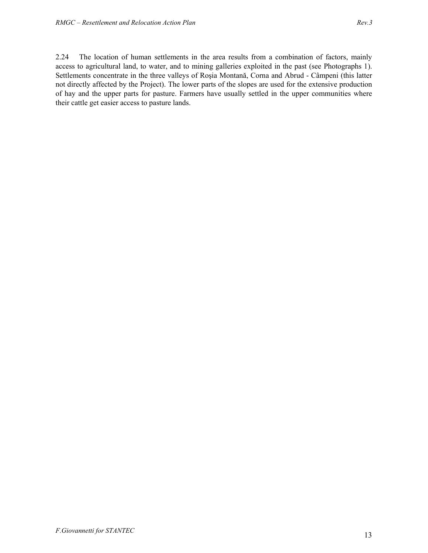2.24 The location of human settlements in the area results from a combination of factors, mainly access to agricultural land, to water, and to mining galleries exploited in the past (see Photographs 1). Settlements concentrate in the three valleys of Roşia Montană, Corna and Abrud - Câmpeni (this latter not directly affected by the Project). The lower parts of the slopes are used for the extensive production of hay and the upper parts for pasture. Farmers have usually settled in the upper communities where their cattle get easier access to pasture lands.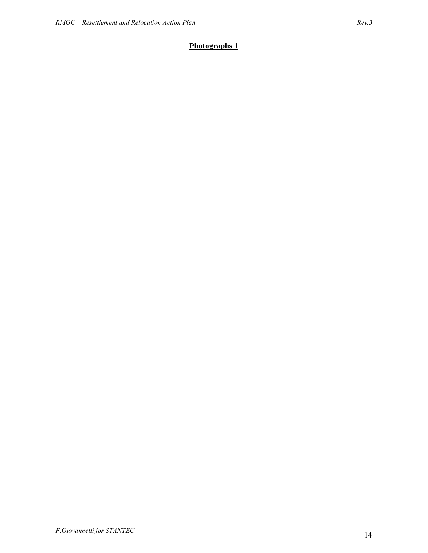# **Photographs 1**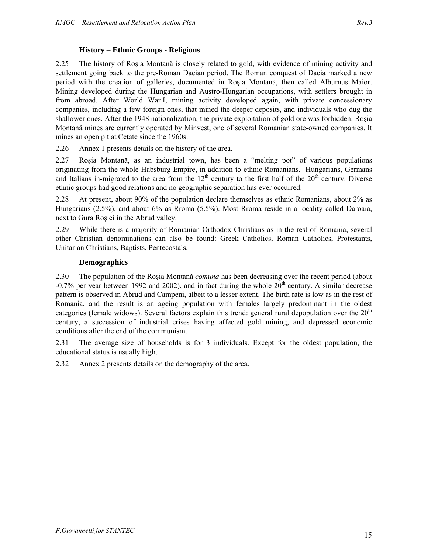2.25 The history of Roşia Montană is closely related to gold, with evidence of mining activity and settlement going back to the pre-Roman Dacian period. The Roman conquest of Dacia marked a new period with the creation of galleries, documented in Roşia Montană, then called Alburnus Maior. Mining developed during the Hungarian and Austro-Hungarian occupations, with settlers brought in from abroad. After World War I, mining activity developed again, with private concessionary companies, including a few foreign ones, that mined the deeper deposits, and individuals who dug the shallower ones. After the 1948 nationalization, the private exploitation of gold ore was forbidden. Roşia Montană mines are currently operated by Minvest, one of several Romanian state-owned companies. It mines an open pit at Cetate since the 1960s.

2.26 Annex 1 presents details on the history of the area.

2.27 Roşia Montană, as an industrial town, has been a "melting pot" of various populations originating from the whole Habsburg Empire, in addition to ethnic Romanians. Hungarians, Germans and Italians in-migrated to the area from the  $12<sup>th</sup>$  century to the first half of the  $20<sup>th</sup>$  century. Diverse ethnic groups had good relations and no geographic separation has ever occurred.

2.28 At present, about 90% of the population declare themselves as ethnic Romanians, about 2% as Hungarians (2.5%), and about 6% as Rroma (5.5%). Most Rroma reside in a locality called Daroaia, next to Gura Roşiei in the Abrud valley.

2.29 While there is a majority of Romanian Orthodox Christians as in the rest of Romania, several other Christian denominations can also be found: Greek Catholics, Roman Catholics, Protestants, Unitarian Christians, Baptists, Pentecostals.

#### **Demographics**

2.30 The population of the Roşia Montană *comuna* has been decreasing over the recent period (about  $-0.7\%$  per year between 1992 and 2002), and in fact during the whole  $20<sup>th</sup>$  century. A similar decrease pattern is observed in Abrud and Campeni, albeit to a lesser extent. The birth rate is low as in the rest of Romania, and the result is an ageing population with females largely predominant in the oldest categories (female widows). Several factors explain this trend: general rural depopulation over the  $20<sup>th</sup>$ century, a succession of industrial crises having affected gold mining, and depressed economic conditions after the end of the communism.

2.31 The average size of households is for 3 individuals. Except for the oldest population, the educational status is usually high.

2.32 Annex 2 presents details on the demography of the area.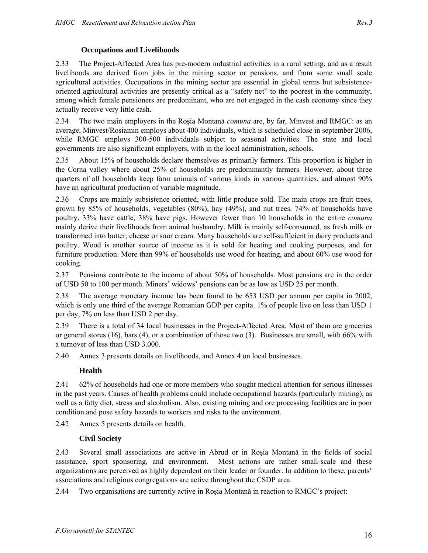#### **Occupations and Livelihoods**

2.33 The Project-Affected Area has pre-modern industrial activities in a rural setting, and as a result livelihoods are derived from jobs in the mining sector or pensions, and from some small scale agricultural activities. Occupations in the mining sector are essential in global terms but subsistenceoriented agricultural activities are presently critical as a "safety net" to the poorest in the community, among which female pensioners are predominant, who are not engaged in the cash economy since they actually receive very little cash.

2.34 The two main employers in the Roşia Montană *comuna* are, by far, Minvest and RMGC: as an average, Minvest/Rosiamin employs about 400 individuals, which is scheduled close in september 2006, while RMGC employs 300-500 individuals subject to seasonal activities. The state and local governments are also significant employers, with in the local administration, schools.

2.35 About 15% of households declare themselves as primarily farmers. This proportion is higher in the Corna valley where about 25% of households are predominantly farmers. However, about three quarters of all households keep farm animals of various kinds in various quantities, and almost 90% have an agricultural production of variable magnitude.

2.36 Crops are mainly subsistence oriented, with little produce sold. The main crops are fruit trees, grown by 85% of households, vegetables (80%), hay (49%), and nut trees. 74% of households have poultry, 33% have cattle, 38% have pigs. However fewer than 10 households in the entire *comuna* mainly derive their livelihoods from animal husbandry. Milk is mainly self-consumed, as fresh milk or transformed into butter, cheese or sour cream. Many households are self-sufficient in dairy products and poultry. Wood is another source of income as it is sold for heating and cooking purposes, and for furniture production. More than 99% of households use wood for heating, and about 60% use wood for cooking.

2.37 Pensions contribute to the income of about 50% of households. Most pensions are in the order of USD 50 to 100 per month. Miners' widows' pensions can be as low as USD 25 per month.

2.38 The average monetary income has been found to be 653 USD per annum per capita in 2002, which is only one third of the average Romanian GDP per capita. 1% of people live on less than USD 1 per day, 7% on less than USD 2 per day.

2.39 There is a total of 34 local businesses in the Project-Affected Area. Most of them are groceries or general stores  $(16)$ , bars  $(4)$ , or a combination of those two  $(3)$ . Businesses are small, with  $66\%$  with a turnover of less than USD 3.000.

2.40 Annex 3 presents details on livelihoods, and Annex 4 on local businesses.

## **Health**

2.41 62% of households had one or more members who sought medical attention for serious illnesses in the past years. Causes of health problems could include occupational hazards (particularly mining), as well as a fatty diet, stress and alcoholism. Also, existing mining and ore processing facilities are in poor condition and pose safety hazards to workers and risks to the environment.

2.42 Annex 5 presents details on health.

## **Civil Society**

2.43 Several small associations are active in Abrud or in Roşia Montană in the fields of social assistance, sport sponsoring, and environment. Most actions are rather small-scale and these organizations are perceived as highly dependent on their leader or founder. In addition to these, parents' associations and religious congregations are active throughout the CSDP area.

2.44 Two organisations are currently active in Roşia Montană in reaction to RMGC's project: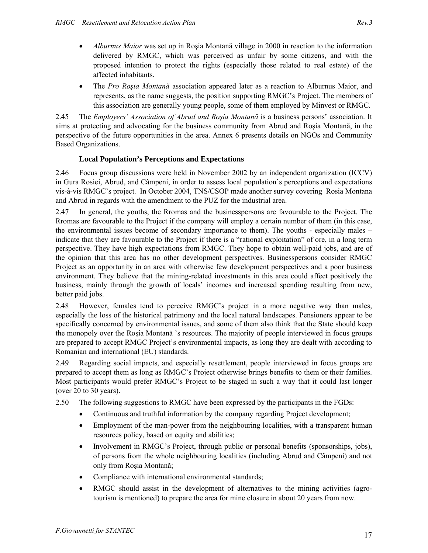- *Alburnus Maior* was set up in Roşia Montană village in 2000 in reaction to the information delivered by RMGC, which was perceived as unfair by some citizens, and with the proposed intention to protect the rights (especially those related to real estate) of the affected inhabitants.
- The *Pro Roşia Montană* association appeared later as a reaction to Alburnus Maior, and represents, as the name suggests, the position supporting RMGC's Project. The members of this association are generally young people, some of them employed by Minvest or RMGC.

2.45 The *Employers' Association of Abrud and Roşia Montană* is a business persons' association. It aims at protecting and advocating for the business community from Abrud and Roşia Montană, in the perspective of the future opportunities in the area. Annex 6 presents details on NGOs and Community Based Organizations.

## **Local Population's Perceptions and Expectations**

2.46 Focus group discussions were held in November 2002 by an independent organization (ICCV) in Gura Rosiei, Abrud, and Câmpeni, in order to assess local population's perceptions and expectations vis-à-vis RMGC's project. In October 2004, TNS/CSOP made another survey covering Rosia Montana and Abrud in regards with the amendment to the PUZ for the industrial area.

2.47 In general, the youths, the Rromas and the businesspersons are favourable to the Project. The Rromas are favourable to the Project if the company will employ a certain number of them (in this case, the environmental issues become of secondary importance to them). The youths - especially males – indicate that they are favourable to the Project if there is a "rational exploitation" of ore, in a long term perspective. They have high expectations from RMGC. They hope to obtain well-paid jobs, and are of the opinion that this area has no other development perspectives. Businesspersons consider RMGC Project as an opportunity in an area with otherwise few development perspectives and a poor business environment. They believe that the mining-related investments in this area could affect positively the business, mainly through the growth of locals' incomes and increased spending resulting from new, better paid jobs.

2.48 However, females tend to perceive RMGC's project in a more negative way than males, especially the loss of the historical patrimony and the local natural landscapes. Pensioners appear to be specifically concerned by environmental issues, and some of them also think that the State should keep the monopoly over the Roşia Montană 's resources. The majority of people interviewed in focus groups are prepared to accept RMGC Project's environmental impacts, as long they are dealt with according to Romanian and international (EU) standards.

2.49 Regarding social impacts, and especially resettlement, people interviewed in focus groups are prepared to accept them as long as RMGC's Project otherwise brings benefits to them or their families. Most participants would prefer RMGC's Project to be staged in such a way that it could last longer (over 20 to 30 years).

- 2.50 The following suggestions to RMGC have been expressed by the participants in the FGDs:
	- Continuous and truthful information by the company regarding Project development;
	- Employment of the man-power from the neighbouring localities, with a transparent human resources policy, based on equity and abilities;
	- Involvement in RMGC's Project, through public or personal benefits (sponsorships, jobs), of persons from the whole neighbouring localities (including Abrud and Câmpeni) and not only from Roşia Montană;
	- Compliance with international environmental standards;
	- RMGC should assist in the development of alternatives to the mining activities (agrotourism is mentioned) to prepare the area for mine closure in about 20 years from now.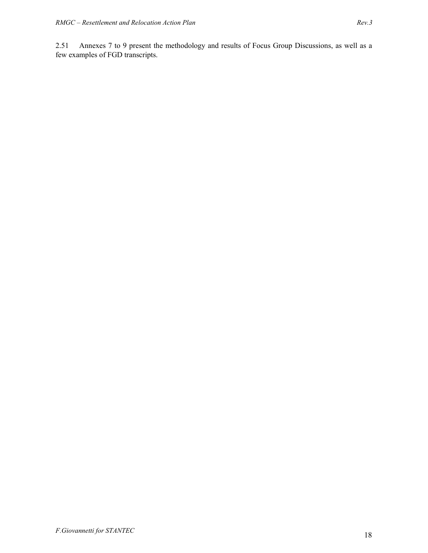2.51 Annexes 7 to 9 present the methodology and results of Focus Group Discussions, as well as a few examples of FGD transcripts.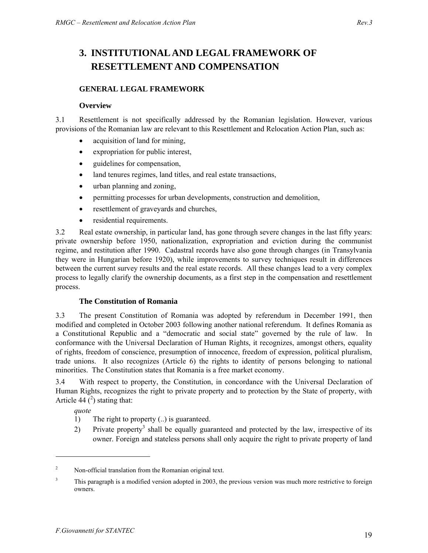# **3. INSTITUTIONAL AND LEGAL FRAMEWORK OF RESETTLEMENT AND COMPENSATION**

#### **GENERAL LEGAL FRAMEWORK**

#### **Overview**

3.1 Resettlement is not specifically addressed by the Romanian legislation. However, various provisions of the Romanian law are relevant to this Resettlement and Relocation Action Plan, such as:

- acquisition of land for mining,
- expropriation for public interest,
- guidelines for compensation,
- land tenures regimes, land titles, and real estate transactions,
- urban planning and zoning,
- permitting processes for urban developments, construction and demolition,
- resettlement of graveyards and churches,
- residential requirements.

3.2 Real estate ownership, in particular land, has gone through severe changes in the last fifty years: private ownership before 1950, nationalization, expropriation and eviction during the communist regime, and restitution after 1990. Cadastral records have also gone through changes (in Transylvania they were in Hungarian before 1920), while improvements to survey techniques result in differences between the current survey results and the real estate records. All these changes lead to a very complex process to legally clarify the ownership documents, as a first step in the compensation and resettlement process.

#### **The Constitution of Romania**

3.3 The present Constitution of Romania was adopted by referendum in December 1991, then modified and completed in October 2003 following another national referendum. It defines Romania as a Constitutional Republic and a "democratic and social state" governed by the rule of law. In conformance with the Universal Declaration of Human Rights, it recognizes, amongst others, equality of rights, freedom of conscience, presumption of innocence, freedom of expression, political pluralism, trade unions. It also recognizes (Article 6) the rights to identity of persons belonging to national minorities. The Constitution states that Romania is a free market economy.

3.4 With respect to property, the Constitution, in concordance with the Universal Declaration of Human Rights, recognizes the right to private property and to protection by the State of property, with Article 44  $(^2)$  stating that:

*quote* 

 $\overline{a}$ 

- 1) The right to property (..) is guaranteed.
- 2) Private property<sup>3</sup> shall be equally guaranteed and protected by the law, irrespective of its owner. Foreign and stateless persons shall only acquire the right to private property of land

<sup>2</sup> Non-official translation from the Romanian original text.

<sup>3</sup> This paragraph is a modified version adopted in 2003, the previous version was much more restrictive to foreign owners.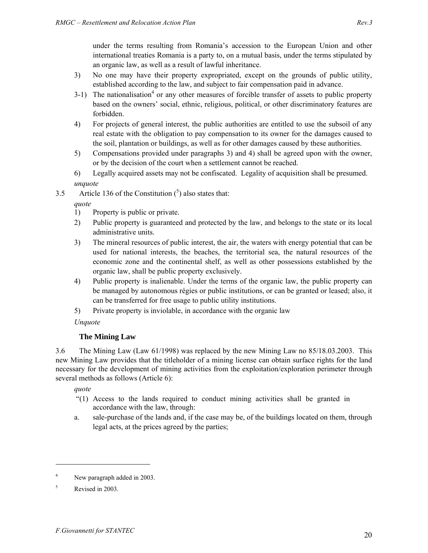under the terms resulting from Romania's accession to the European Union and other international treaties Romania is a party to, on a mutual basis, under the terms stipulated by an organic law, as well as a result of lawful inheritance.

- 3) No one may have their property expropriated, except on the grounds of public utility, established according to the law, and subject to fair compensation paid in advance.
- $3-1$ ) The nationalisation<sup>4</sup> or any other measures of forcible transfer of assets to public property based on the owners' social, ethnic, religious, political, or other discriminatory features are forbidden.
- 4) For projects of general interest, the public authorities are entitled to use the subsoil of any real estate with the obligation to pay compensation to its owner for the damages caused to the soil, plantation or buildings, as well as for other damages caused by these authorities.
- 5) Compensations provided under paragraphs 3) and 4) shall be agreed upon with the owner, or by the decision of the court when a settlement cannot be reached.
- 6) Legally acquired assets may not be confiscated. Legality of acquisition shall be presumed.

# *unquote*

3.5 Article 136 of the Constitution  $(\binom{5}{9})$  also states that:

## *quote*

- 1) Property is public or private.
- 2) Public property is guaranteed and protected by the law, and belongs to the state or its local administrative units.
- 3) The mineral resources of public interest, the air, the waters with energy potential that can be used for national interests, the beaches, the territorial sea, the natural resources of the economic zone and the continental shelf, as well as other possessions established by the organic law, shall be public property exclusively.
- 4) Public property is inalienable. Under the terms of the organic law, the public property can be managed by autonomous régies or public institutions, or can be granted or leased; also, it can be transferred for free usage to public utility institutions.
- 5) Private property is inviolable, in accordance with the organic law

*Unquote* 

## **The Mining Law**

3.6 The Mining Law (Law 61/1998) was replaced by the new Mining Law no 85/18.03.2003. This new Mining Law provides that the titleholder of a mining license can obtain surface rights for the land necessary for the development of mining activities from the exploitation/exploration perimeter through several methods as follows (Article 6):

*quote* 

- "(1) Access to the lands required to conduct mining activities shall be granted in accordance with the law, through:
- a. sale-purchase of the lands and, if the case may be, of the buildings located on them, through legal acts, at the prices agreed by the parties;

<sup>4</sup> New paragraph added in 2003.

<sup>5</sup> Revised in 2003.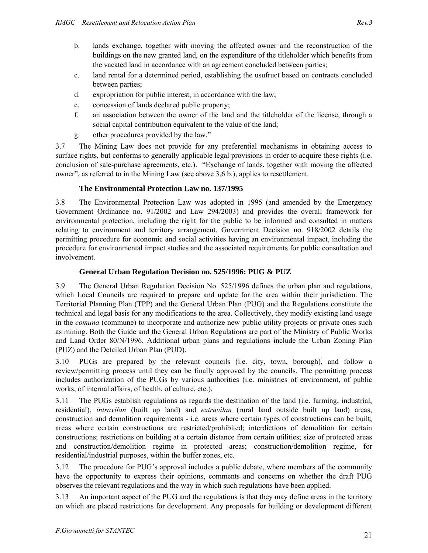- b. lands exchange, together with moving the affected owner and the reconstruction of the buildings on the new granted land, on the expenditure of the titleholder which benefits from the vacated land in accordance with an agreement concluded between parties;
- c. land rental for a determined period, establishing the usufruct based on contracts concluded between parties;
- d. expropriation for public interest, in accordance with the law;
- e. concession of lands declared public property;
- f. an association between the owner of the land and the titleholder of the license, through a social capital contribution equivalent to the value of the land;
- g. other procedures provided by the law."

3.7 The Mining Law does not provide for any preferential mechanisms in obtaining access to surface rights, but conforms to generally applicable legal provisions in order to acquire these rights (i.e. conclusion of sale-purchase agreements, etc.). "Exchange of lands, together with moving the affected owner", as referred to in the Mining Law (see above 3.6 b.), applies to resettlement.

## **The Environmental Protection Law no. 137/1995**

3.8 The Environmental Protection Law was adopted in 1995 (and amended by the Emergency Government Ordinance no. 91/2002 and Law 294/2003) and provides the overall framework for environmental protection, including the right for the public to be informed and consulted in matters relating to environment and territory arrangement. Government Decision no. 918/2002 details the permitting procedure for economic and social activities having an environmental impact, including the procedure for environmental impact studies and the associated requirements for public consultation and involvement.

## **General Urban Regulation Decision no. 525/1996: PUG & PUZ**

3.9 The General Urban Regulation Decision No. 525/1996 defines the urban plan and regulations, which Local Councils are required to prepare and update for the area within their jurisdiction. The Territorial Planning Plan (TPP) and the General Urban Plan (PUG) and the Regulations constitute the technical and legal basis for any modifications to the area. Collectively, they modify existing land usage in the *comuna* (commune) to incorporate and authorize new public utility projects or private ones such as mining. Both the Guide and the General Urban Regulations are part of the Ministry of Public Works and Land Order 80/N/1996. Additional urban plans and regulations include the Urban Zoning Plan (PUZ) and the Detailed Urban Plan (PUD).

3.10 PUGs are prepared by the relevant councils (i.e. city, town, borough), and follow a review/permitting process until they can be finally approved by the councils. The permitting process includes authorization of the PUGs by various authorities (i.e. ministries of environment, of public works, of internal affairs, of health, of culture, etc.).

3.11 The PUGs establish regulations as regards the destination of the land (i.e. farming, industrial, residential), *intravilan* (built up land) and *extravilan* (rural land outside built up land) areas, construction and demolition requirements - i.e. areas where certain types of constructions can be built; areas where certain constructions are restricted/prohibited; interdictions of demolition for certain constructions; restrictions on building at a certain distance from certain utilities; size of protected areas and construction/demolition regime in protected areas; construction/demolition regime, for residential/industrial purposes, within the buffer zones, etc.

3.12 The procedure for PUG's approval includes a public debate, where members of the community have the opportunity to express their opinions, comments and concerns on whether the draft PUG observes the relevant regulations and the way in which such regulations have been applied.

3.13 An important aspect of the PUG and the regulations is that they may define areas in the territory on which are placed restrictions for development. Any proposals for building or development different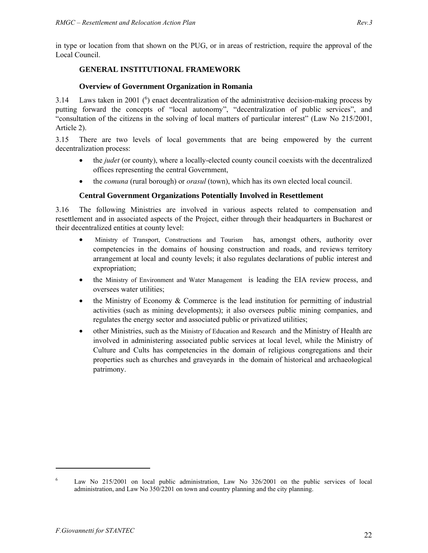# **GENERAL INSTITUTIONAL FRAMEWORK**

## **Overview of Government Organization in Romania**

3.14 Laws taken in 2001  $\binom{6}{7}$  enact decentralization of the administrative decision-making process by putting forward the concepts of "local autonomy", "decentralization of public services", and "consultation of the citizens in the solving of local matters of particular interest" (Law No 215/2001, Article 2).

3.15 There are two levels of local governments that are being empowered by the current decentralization process:

- the *judet* (or county), where a locally-elected county council coexists with the decentralized offices representing the central Government,
- the *comuna* (rural borough) or *orasul* (town), which has its own elected local council.

## **Central Government Organizations Potentially Involved in Resettlement**

3.16 The following Ministries are involved in various aspects related to compensation and resettlement and in associated aspects of the Project, either through their headquarters in Bucharest or their decentralized entities at county level:

- Ministry of Transport, Constructions and Tourism has, amongst others, authority over competencies in the domains of housing construction and roads, and reviews territory arrangement at local and county levels; it also regulates declarations of public interest and expropriation;
- the Ministry of Environment and Water Management is leading the EIA review process, and oversees water utilities;
- the Ministry of Economy  $\&$  Commerce is the lead institution for permitting of industrial activities (such as mining developments); it also oversees public mining companies, and regulates the energy sector and associated public or privatized utilities;
- other Ministries, such as the Ministry of Education and Research and the Ministry of Health are involved in administering associated public services at local level, while the Ministry of Culture and Cults has competencies in the domain of religious congregations and their properties such as churches and graveyards in the domain of historical and archaeological patrimony.

<sup>6</sup> Law No 215/2001 on local public administration, Law No 326/2001 on the public services of local administration, and Law No 350/2201 on town and country planning and the city planning.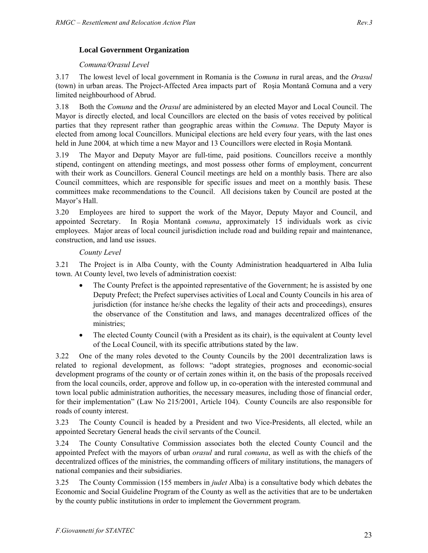## **Local Government Organization**

#### *Comuna/Orasul Level*

3.17 The lowest level of local government in Romania is the *Comuna* in rural areas, and the *Orasul*  (town) in urban areas. The Project-Affected Area impacts part of Roşia Montană Comuna and a very limited neighbourhood of Abrud.

3.18 Both the *Comuna* and the *Orasul* are administered by an elected Mayor and Local Council. The Mayor is directly elected, and local Councillors are elected on the basis of votes received by political parties that they represent rather than geographic areas within the *Comuna*. The Deputy Mayor is elected from among local Councillors. Municipal elections are held every four years, with the last ones held in June 2004*,* at which time a new Mayor and 13 Councillors were elected in Roşia Montană*.*

3.19 The Mayor and Deputy Mayor are full-time, paid positions. Councillors receive a monthly stipend, contingent on attending meetings, and most possess other forms of employment, concurrent with their work as Councillors. General Council meetings are held on a monthly basis. There are also Council committees, which are responsible for specific issues and meet on a monthly basis. These committees make recommendations to the Council. All decisions taken by Council are posted at the Mayor's Hall.

3.20 Employees are hired to support the work of the Mayor, Deputy Mayor and Council, and appointed Secretary. In Roşia Montană *comuna*, approximately 15 individuals work as civic employees. Major areas of local council jurisdiction include road and building repair and maintenance, construction, and land use issues.

#### *County Level*

3.21 The Project is in Alba County, with the County Administration headquartered in Alba Iulia town. At County level, two levels of administration coexist:

- The County Prefect is the appointed representative of the Government; he is assisted by one Deputy Prefect; the Prefect supervises activities of Local and County Councils in his area of jurisdiction (for instance he/she checks the legality of their acts and proceedings), ensures the observance of the Constitution and laws, and manages decentralized offices of the ministries;
- The elected County Council (with a President as its chair), is the equivalent at County level of the Local Council, with its specific attributions stated by the law.

3.22 One of the many roles devoted to the County Councils by the 2001 decentralization laws is related to regional development, as follows: "adopt strategies, prognoses and economic-social development programs of the county or of certain zones within it, on the basis of the proposals received from the local councils, order, approve and follow up, in co-operation with the interested communal and town local public administration authorities, the necessary measures, including those of financial order, for their implementation" (Law No 215/2001, Article 104). County Councils are also responsible for roads of county interest.

3.23 The County Council is headed by a President and two Vice-Presidents, all elected, while an appointed Secretary General heads the civil servants of the Council.

3.24 The County Consultative Commission associates both the elected County Council and the appointed Prefect with the mayors of urban *orasul* and rural *comuna*, as well as with the chiefs of the decentralized offices of the ministries, the commanding officers of military institutions, the managers of national companies and their subsidiaries.

3.25 The County Commission (155 members in *judet* Alba) is a consultative body which debates the Economic and Social Guideline Program of the County as well as the activities that are to be undertaken by the county public institutions in order to implement the Government program.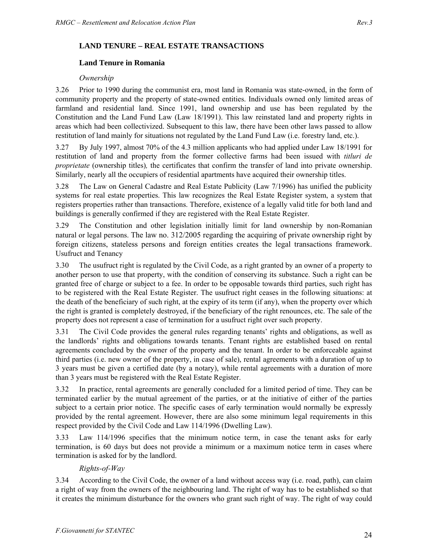## **LAND TENURE – REAL ESTATE TRANSACTIONS**

#### **Land Tenure in Romania**

#### *Ownership*

3.26 Prior to 1990 during the communist era, most land in Romania was state-owned, in the form of community property and the property of state-owned entities. Individuals owned only limited areas of farmland and residential land. Since 1991, land ownership and use has been regulated by the Constitution and the Land Fund Law (Law 18/1991). This law reinstated land and property rights in areas which had been collectivized. Subsequent to this law, there have been other laws passed to allow restitution of land mainly for situations not regulated by the Land Fund Law (i.e. forestry land, etc.).

3.27 By July 1997, almost 70% of the 4.3 million applicants who had applied under Law 18/1991 for restitution of land and property from the former collective farms had been issued with *titluri de proprietate* (ownership titles), the certificates that confirm the transfer of land into private ownership. Similarly, nearly all the occupiers of residential apartments have acquired their ownership titles.

3.28 The Law on General Cadastre and Real Estate Publicity (Law 7/1996) has unified the publicity systems for real estate properties. This law recognizes the Real Estate Register system, a system that registers properties rather than transactions. Therefore, existence of a legally valid title for both land and buildings is generally confirmed if they are registered with the Real Estate Register.

3.29 The Constitution and other legislation initially limit for land ownership by non-Romanian natural or legal persons. The law no. 312/2005 regarding the acquiring of private ownership right by foreign citizens, stateless persons and foreign entities creates the legal transactions framework. Usufruct and Tenancy

3.30 The usufruct right is regulated by the Civil Code, as a right granted by an owner of a property to another person to use that property, with the condition of conserving its substance. Such a right can be granted free of charge or subject to a fee. In order to be opposable towards third parties, such right has to be registered with the Real Estate Register. The usufruct right ceases in the following situations: at the death of the beneficiary of such right, at the expiry of its term (if any), when the property over which the right is granted is completely destroyed, if the beneficiary of the right renounces, etc. The sale of the property does not represent a case of termination for a usufruct right over such property.

3.31 The Civil Code provides the general rules regarding tenants' rights and obligations, as well as the landlords' rights and obligations towards tenants. Tenant rights are established based on rental agreements concluded by the owner of the property and the tenant. In order to be enforceable against third parties (i.e. new owner of the property, in case of sale), rental agreements with a duration of up to 3 years must be given a certified date (by a notary), while rental agreements with a duration of more than 3 years must be registered with the Real Estate Register.

3.32 In practice, rental agreements are generally concluded for a limited period of time. They can be terminated earlier by the mutual agreement of the parties, or at the initiative of either of the parties subject to a certain prior notice. The specific cases of early termination would normally be expressly provided by the rental agreement. However, there are also some minimum legal requirements in this respect provided by the Civil Code and Law 114/1996 (Dwelling Law).

3.33 Law 114/1996 specifies that the minimum notice term, in case the tenant asks for early termination, is 60 days but does not provide a minimum or a maximum notice term in cases where termination is asked for by the landlord.

## *Rights-of-Way*

3.34 According to the Civil Code, the owner of a land without access way (i.e. road, path), can claim a right of way from the owners of the neighbouring land. The right of way has to be established so that it creates the minimum disturbance for the owners who grant such right of way. The right of way could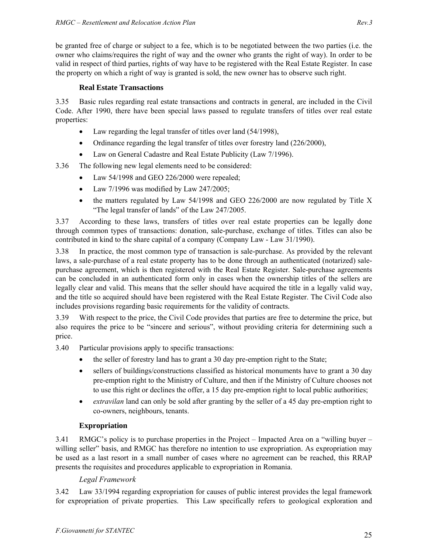be granted free of charge or subject to a fee, which is to be negotiated between the two parties (i.e. the owner who claims/requires the right of way and the owner who grants the right of way). In order to be valid in respect of third parties, rights of way have to be registered with the Real Estate Register. In case the property on which a right of way is granted is sold, the new owner has to observe such right.

## **Real Estate Transactions**

3.35 Basic rules regarding real estate transactions and contracts in general, are included in the Civil Code. After 1990, there have been special laws passed to regulate transfers of titles over real estate properties:

- Law regarding the legal transfer of titles over land (54/1998),
- Ordinance regarding the legal transfer of titles over forestry land (226/2000),
- Law on General Cadastre and Real Estate Publicity (Law 7/1996).

3.36 The following new legal elements need to be considered:

- Law 54/1998 and GEO 226/2000 were repealed;
- Law  $7/1996$  was modified by Law 247/2005;
- the matters regulated by Law 54/1998 and GEO 226/2000 are now regulated by Title X "The legal transfer of lands" of the Law 247/2005.

3.37 According to these laws, transfers of titles over real estate properties can be legally done through common types of transactions: donation, sale-purchase, exchange of titles. Titles can also be contributed in kind to the share capital of a company (Company Law - Law 31/1990).

3.38 In practice, the most common type of transaction is sale-purchase. As provided by the relevant laws, a sale-purchase of a real estate property has to be done through an authenticated (notarized) salepurchase agreement, which is then registered with the Real Estate Register. Sale-purchase agreements can be concluded in an authenticated form only in cases when the ownership titles of the sellers are legally clear and valid. This means that the seller should have acquired the title in a legally valid way, and the title so acquired should have been registered with the Real Estate Register. The Civil Code also includes provisions regarding basic requirements for the validity of contracts.

3.39 With respect to the price, the Civil Code provides that parties are free to determine the price, but also requires the price to be "sincere and serious", without providing criteria for determining such a price.

3.40 Particular provisions apply to specific transactions:

- the seller of forestry land has to grant a 30 day pre-emption right to the State;
- sellers of buildings/constructions classified as historical monuments have to grant a 30 day pre-emption right to the Ministry of Culture, and then if the Ministry of Culture chooses not to use this right or declines the offer, a 15 day pre-emption right to local public authorities;
- *extravilan* land can only be sold after granting by the seller of a 45 day pre-emption right to co-owners, neighbours, tenants.

## **Expropriation**

3.41 RMGC's policy is to purchase properties in the Project – Impacted Area on a "willing buyer – willing seller" basis, and RMGC has therefore no intention to use expropriation. As expropriation may be used as a last resort in a small number of cases where no agreement can be reached, this RRAP presents the requisites and procedures applicable to expropriation in Romania.

## *Legal Framework*

3.42 Law 33/1994 regarding expropriation for causes of public interest provides the legal framework for expropriation of private properties. This Law specifically refers to geological exploration and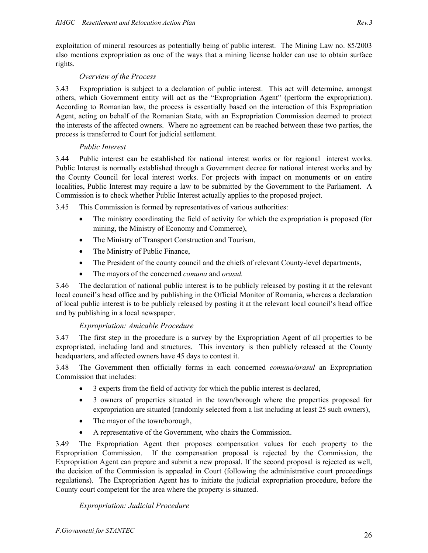exploitation of mineral resources as potentially being of public interest. The Mining Law no. 85/2003 also mentions expropriation as one of the ways that a mining license holder can use to obtain surface rights.

## *Overview of the Process*

3.43 Expropriation is subject to a declaration of public interest. This act will determine, amongst others, which Government entity will act as the "Expropriation Agent" (perform the expropriation). According to Romanian law, the process is essentially based on the interaction of this Expropriation Agent, acting on behalf of the Romanian State, with an Expropriation Commission deemed to protect the interests of the affected owners. Where no agreement can be reached between these two parties, the process is transferred to Court for judicial settlement.

## *Public Interest*

3.44 Public interest can be established for national interest works or for regional interest works. Public Interest is normally established through a Government decree for national interest works and by the County Council for local interest works. For projects with impact on monuments or on entire localities, Public Interest may require a law to be submitted by the Government to the Parliament. A Commission is to check whether Public Interest actually applies to the proposed project.

3.45 This Commission is formed by representatives of various authorities:

- The ministry coordinating the field of activity for which the expropriation is proposed (for mining, the Ministry of Economy and Commerce),
- The Ministry of Transport Construction and Tourism,
- The Ministry of Public Finance,
- The President of the county council and the chiefs of relevant County-level departments,
- The mayors of the concerned *comuna* and *orasul.*

3.46 The declaration of national public interest is to be publicly released by posting it at the relevant local council's head office and by publishing in the Official Monitor of Romania, whereas a declaration of local public interest is to be publicly released by posting it at the relevant local council's head office and by publishing in a local newspaper.

## *Expropriation: Amicable Procedure*

3.47 The first step in the procedure is a survey by the Expropriation Agent of all properties to be expropriated, including land and structures. This inventory is then publicly released at the County headquarters, and affected owners have 45 days to contest it.

3.48 The Government then officially forms in each concerned *comuna/orasul* an Expropriation Commission that includes:

- 3 experts from the field of activity for which the public interest is declared,
- 3 owners of properties situated in the town/borough where the properties proposed for expropriation are situated (randomly selected from a list including at least 25 such owners),
- The mayor of the town/borough,
- A representative of the Government, who chairs the Commission.

3.49 The Expropriation Agent then proposes compensation values for each property to the Expropriation Commission. If the compensation proposal is rejected by the Commission, the Expropriation Agent can prepare and submit a new proposal. If the second proposal is rejected as well, the decision of the Commission is appealed in Court (following the administrative court proceedings regulations). The Expropriation Agent has to initiate the judicial expropriation procedure, before the County court competent for the area where the property is situated.

## *Expropriation: Judicial Procedure*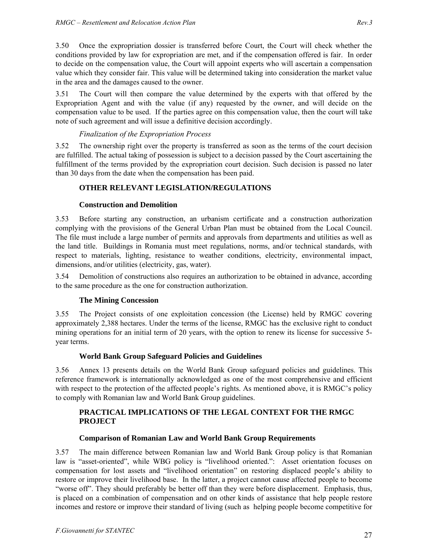3.50 Once the expropriation dossier is transferred before Court, the Court will check whether the conditions provided by law for expropriation are met, and if the compensation offered is fair. In order to decide on the compensation value, the Court will appoint experts who will ascertain a compensation value which they consider fair. This value will be determined taking into consideration the market value in the area and the damages caused to the owner.

3.51 The Court will then compare the value determined by the experts with that offered by the Expropriation Agent and with the value (if any) requested by the owner, and will decide on the compensation value to be used. If the parties agree on this compensation value, then the court will take note of such agreement and will issue a definitive decision accordingly.

## *Finalization of the Expropriation Process*

3.52 The ownership right over the property is transferred as soon as the terms of the court decision are fulfilled. The actual taking of possession is subject to a decision passed by the Court ascertaining the fulfillment of the terms provided by the expropriation court decision. Such decision is passed no later than 30 days from the date when the compensation has been paid.

#### **OTHER RELEVANT LEGISLATION/REGULATIONS**

#### **Construction and Demolition**

3.53 Before starting any construction, an urbanism certificate and a construction authorization complying with the provisions of the General Urban Plan must be obtained from the Local Council. The file must include a large number of permits and approvals from departments and utilities as well as the land title. Buildings in Romania must meet regulations, norms, and/or technical standards, with respect to materials, lighting, resistance to weather conditions, electricity, environmental impact, dimensions, and/or utilities (electricity, gas, water).

3.54 Demolition of constructions also requires an authorization to be obtained in advance, according to the same procedure as the one for construction authorization.

#### **The Mining Concession**

3.55 The Project consists of one exploitation concession (the License) held by RMGC covering approximately 2,388 hectares. Under the terms of the license, RMGC has the exclusive right to conduct mining operations for an initial term of 20 years, with the option to renew its license for successive 5 year terms.

#### **World Bank Group Safeguard Policies and Guidelines**

3.56 Annex 13 presents details on the World Bank Group safeguard policies and guidelines. This reference framework is internationally acknowledged as one of the most comprehensive and efficient with respect to the protection of the affected people's rights. As mentioned above, it is RMGC's policy to comply with Romanian law and World Bank Group guidelines.

## **PRACTICAL IMPLICATIONS OF THE LEGAL CONTEXT FOR THE RMGC PROJECT**

#### **Comparison of Romanian Law and World Bank Group Requirements**

3.57 The main difference between Romanian law and World Bank Group policy is that Romanian law is "asset-oriented", while WBG policy is "livelihood oriented.": Asset orientation focuses on compensation for lost assets and "livelihood orientation" on restoring displaced people's ability to restore or improve their livelihood base. In the latter, a project cannot cause affected people to become "worse off". They should preferably be better off than they were before displacement. Emphasis, thus, is placed on a combination of compensation and on other kinds of assistance that help people restore incomes and restore or improve their standard of living (such as helping people become competitive for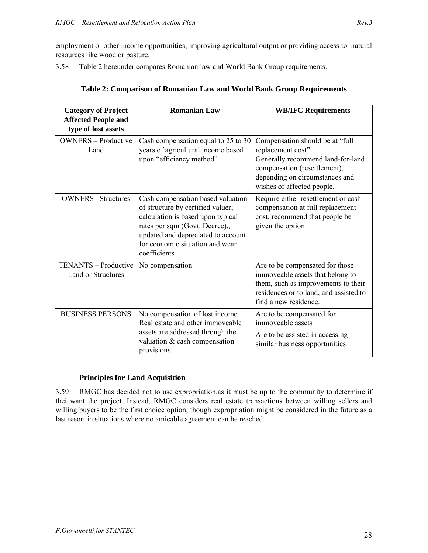employment or other income opportunities, improving agricultural output or providing access to natural resources like wood or pasture.

3.58 Table 2 hereunder compares Romanian law and World Bank Group requirements.

| <b>Category of Project</b><br><b>Affected People and</b><br>type of lost assets | <b>Romanian Law</b>                                                                                                                                                                                                                    | <b>WB/IFC Requirements</b>                                                                                                                                                                |
|---------------------------------------------------------------------------------|----------------------------------------------------------------------------------------------------------------------------------------------------------------------------------------------------------------------------------------|-------------------------------------------------------------------------------------------------------------------------------------------------------------------------------------------|
| <b>OWNERS</b> – Productive<br>Land                                              | Cash compensation equal to 25 to 30<br>years of agricultural income based<br>upon "efficiency method"                                                                                                                                  | Compensation should be at "full<br>replacement cost"<br>Generally recommend land-for-land<br>compensation (resettlement),<br>depending on circumstances and<br>wishes of affected people. |
| <b>OWNERS-Structures</b>                                                        | Cash compensation based valuation<br>of structure by certified valuer;<br>calculation is based upon typical<br>rates per sqm (Govt. Decree).,<br>updated and depreciated to account<br>for economic situation and wear<br>coefficients | Require either resettlement or cash<br>compensation at full replacement<br>cost, recommend that people be<br>given the option                                                             |
| TENANTS - Productive<br><b>Land or Structures</b>                               | No compensation                                                                                                                                                                                                                        | Are to be compensated for those<br>immoveable assets that belong to<br>them, such as improvements to their<br>residences or to land, and assisted to<br>find a new residence.             |
| <b>BUSINESS PERSONS</b>                                                         | No compensation of lost income.<br>Real estate and other immoveable<br>assets are addressed through the<br>valuation $&$ cash compensation<br>provisions                                                                               | Are to be compensated for<br>immoveable assets<br>Are to be assisted in accessing<br>similar business opportunities                                                                       |

## **Table 2: Comparison of Romanian Law and World Bank Group Requirements**

## **Principles for Land Acquisition**

3.59 RMGC has decided not to use expropriation.as it must be up to the community to determine if thei want the project. Instead, RMGC considers real estate transactions between willing sellers and willing buyers to be the first choice option, though expropriation might be considered in the future as a last resort in situations where no amicable agreement can be reached.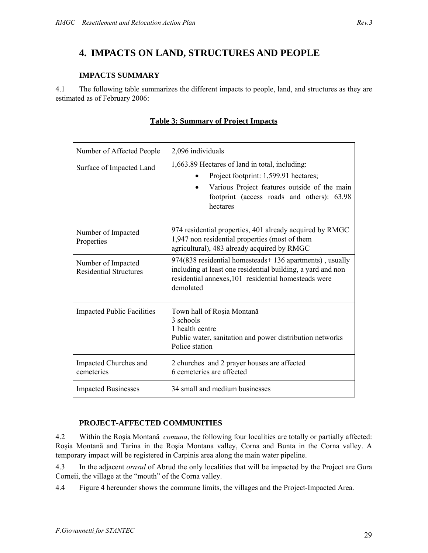# **4. IMPACTS ON LAND, STRUCTURES AND PEOPLE**

## **IMPACTS SUMMARY**

4.1 The following table summarizes the different impacts to people, land, and structures as they are estimated as of February 2006:

| Number of Affected People                           | 2,096 individuals                                                                                                                                                                                 |  |
|-----------------------------------------------------|---------------------------------------------------------------------------------------------------------------------------------------------------------------------------------------------------|--|
| Surface of Impacted Land                            | 1,663.89 Hectares of land in total, including:<br>Project footprint: 1,599.91 hectares;<br>Various Project features outside of the main<br>footprint (access roads and others): 63.98<br>hectares |  |
| Number of Impacted<br>Properties                    | 974 residential properties, 401 already acquired by RMGC<br>1,947 non residential properties (most of them<br>agricultural), 483 already acquired by RMGC                                         |  |
| Number of Impacted<br><b>Residential Structures</b> | 974(838 residential homesteads+ 136 apartments), usually<br>including at least one residential building, a yard and non<br>residential annexes, 101 residential homesteads were<br>demolated      |  |
| <b>Impacted Public Facilities</b>                   | Town hall of Roșia Montană<br>3 schools<br>1 health centre<br>Public water, sanitation and power distribution networks<br>Police station                                                          |  |
| Impacted Churches and<br>cemeteries                 | 2 churches and 2 prayer houses are affected<br>6 cemeteries are affected                                                                                                                          |  |
| <b>Impacted Businesses</b>                          | 34 small and medium businesses                                                                                                                                                                    |  |

# **Table 3: Summary of Project Impacts**

## **PROJECT-AFFECTED COMMUNITIES**

4.2 Within the Roşia Montană *comuna*, the following four localities are totally or partially affected: Roşia Montană and Tarina in the Roşia Montana valley, Corna and Bunta in the Corna valley. A temporary impact will be registered in Carpinis area along the main water pipeline.

4.3 In the adjacent *orasul* of Abrud the only localities that will be impacted by the Project are Gura Corneii, the village at the "mouth" of the Corna valley.

4.4 Figure 4 hereunder shows the commune limits, the villages and the Project-Impacted Area.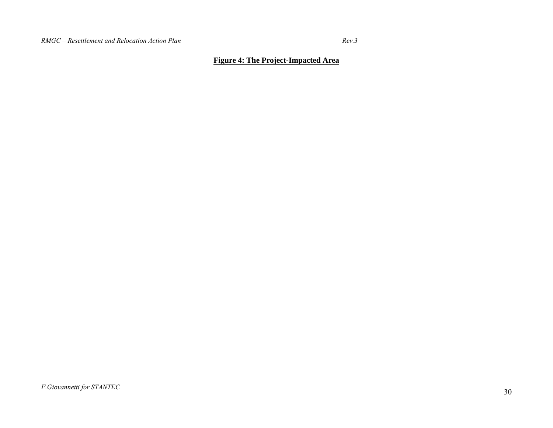$Rev.3$ 

## **Figure 4: The Project-Impacted Area**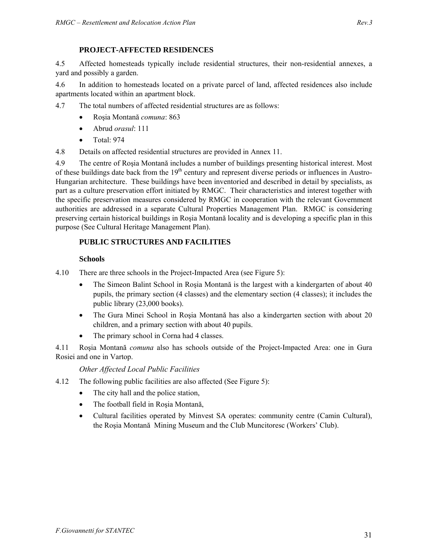4.5 Affected homesteads typically include residential structures, their non-residential annexes, a yard and possibly a garden.

4.6 In addition to homesteads located on a private parcel of land, affected residences also include apartments located within an apartment block.

- 4.7 The total numbers of affected residential structures are as follows:
	- Roşia Montană *comuna*: 863
	- Abrud *orasul*: 111
	- Total<sup>-</sup> 974

4.8 Details on affected residential structures are provided in Annex 11.

4.9 The centre of Roşia Montană includes a number of buildings presenting historical interest. Most of these buildings date back from the 19<sup>th</sup> century and represent diverse periods or influences in Austro-Hungarian architecture. These buildings have been inventoried and described in detail by specialists, as part as a culture preservation effort initiated by RMGC. Their characteristics and interest together with the specific preservation measures considered by RMGC in cooperation with the relevant Government authorities are addressed in a separate Cultural Properties Management Plan. RMGC is considering preserving certain historical buildings in Roşia Montană locality and is developing a specific plan in this purpose (See Cultural Heritage Management Plan).

# **PUBLIC STRUCTURES AND FACILITIES**

#### **Schools**

4.10 There are three schools in the Project-Impacted Area (see Figure 5):

- The Simeon Balint School in Roşia Montană is the largest with a kindergarten of about 40 pupils, the primary section (4 classes) and the elementary section (4 classes); it includes the public library (23,000 books).
- The Gura Minei School in Roşia Montană has also a kindergarten section with about 20 children, and a primary section with about 40 pupils.
- The primary school in Corna had 4 classes.

4.11 Roşia Montană *comuna* also has schools outside of the Project-Impacted Area: one in Gura Rosiei and one in Vartop.

*Other Affected Local Public Facilities* 

- 4.12 The following public facilities are also affected (See Figure 5):
	- The city hall and the police station,
	- The football field in Roşia Montană,
	- Cultural facilities operated by Minvest SA operates: community centre (Camin Cultural), the Roşia Montană Mining Museum and the Club Muncitoresc (Workers' Club).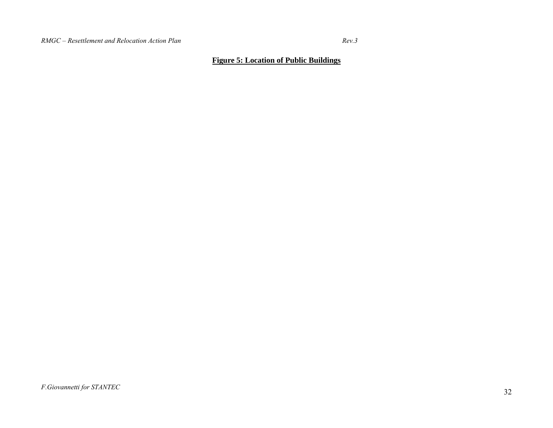$Rev.3$ 

## **Figure 5: Location of Public Buildings**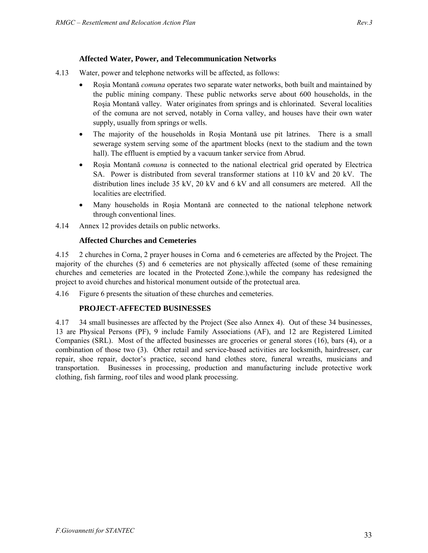- 4.13 Water, power and telephone networks will be affected, as follows:
	- Roşia Montană *comuna* operates two separate water networks, both built and maintained by the public mining company. These public networks serve about 600 households, in the Roşia Montană valley. Water originates from springs and is chlorinated. Several localities of the comuna are not served, notably in Corna valley, and houses have their own water supply, usually from springs or wells.
	- The majority of the households in Roşia Montană use pit latrines. There is a small sewerage system serving some of the apartment blocks (next to the stadium and the town hall). The effluent is emptied by a vacuum tanker service from Abrud.
	- Roşia Montană *comuna* is connected to the national electrical grid operated by Electrica SA. Power is distributed from several transformer stations at 110 kV and 20 kV. The distribution lines include 35 kV, 20 kV and 6 kV and all consumers are metered. All the localities are electrified.
	- Many households in Roşia Montană are connected to the national telephone network through conventional lines.
- 4.14 Annex 12 provides details on public networks.

#### **Affected Churches and Cemeteries**

4.15 2 churches in Corna, 2 prayer houses in Corna and 6 cemeteries are affected by the Project. The majority of the churches (5) and 6 cemeteries are not physically affected (some of these remaining churches and cemeteries are located in the Protected Zone.),while the company has redesigned the project to avoid churches and historical monument outside of the protectual area.

4.16 Figure 6 presents the situation of these churches and cemeteries.

#### **PROJECT-AFFECTED BUSINESSES**

4.17 34 small businesses are affected by the Project (See also Annex 4). Out of these 34 businesses, 13 are Physical Persons (PF), 9 include Family Associations (AF), and 12 are Registered Limited Companies (SRL). Most of the affected businesses are groceries or general stores (16), bars (4), or a combination of those two (3). Other retail and service-based activities are locksmith, hairdresser, car repair, shoe repair, doctor's practice, second hand clothes store, funeral wreaths, musicians and transportation. Businesses in processing, production and manufacturing include protective work clothing, fish farming, roof tiles and wood plank processing.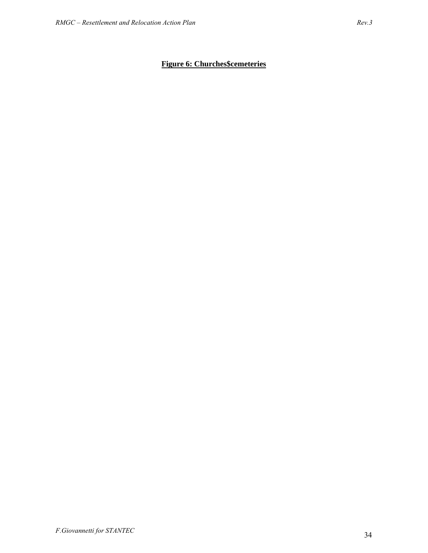# **Figure 6: Churches\$cemeteries**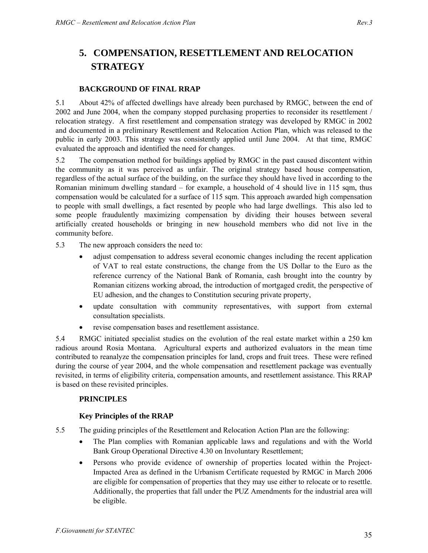# **5. COMPENSATION, RESETTLEMENT AND RELOCATION STRATEGY**

#### **BACKGROUND OF FINAL RRAP**

5.1 About 42% of affected dwellings have already been purchased by RMGC, between the end of 2002 and June 2004, when the company stopped purchasing properties to reconsider its resettlement / relocation strategy. A first resettlement and compensation strategy was developed by RMGC in 2002 and documented in a preliminary Resettlement and Relocation Action Plan, which was released to the public in early 2003. This strategy was consistently applied until June 2004. At that time, RMGC evaluated the approach and identified the need for changes.

5.2 The compensation method for buildings applied by RMGC in the past caused discontent within the community as it was perceived as unfair. The original strategy based house compensation, regardless of the actual surface of the building, on the surface they should have lived in according to the Romanian minimum dwelling standard – for example, a household of 4 should live in 115 sqm, thus compensation would be calculated for a surface of 115 sqm. This approach awarded high compensation to people with small dwellings, a fact resented by people who had large dwellings. This also led to some people fraudulently maximizing compensation by dividing their houses between several artificially created households or bringing in new household members who did not live in the community before.

5.3 The new approach considers the need to:

- adjust compensation to address several economic changes including the recent application of VAT to real estate constructions, the change from the US Dollar to the Euro as the reference currency of the National Bank of Romania, cash brought into the country by Romanian citizens working abroad, the introduction of mortgaged credit, the perspective of EU adhesion, and the changes to Constitution securing private property,
- update consultation with community representatives, with support from external consultation specialists.
- revise compensation bases and resettlement assistance.

5.4 RMGC initiated specialist studies on the evolution of the real estate market within a 250 km radious around Rosia Montana. Agricultural experts and authorized evaluators in the mean time contributed to reanalyze the compensation principles for land, crops and fruit trees. These were refined during the course of year 2004, and the whole compensation and resettlement package was eventually revisited, in terms of eligibility criteria, compensation amounts, and resettlement assistance. This RRAP is based on these revisited principles.

#### **PRINCIPLES**

#### **Key Principles of the RRAP**

- 5.5 The guiding principles of the Resettlement and Relocation Action Plan are the following:
	- The Plan complies with Romanian applicable laws and regulations and with the World Bank Group Operational Directive 4.30 on Involuntary Resettlement;
	- Persons who provide evidence of ownership of properties located within the Project-Impacted Area as defined in the Urbanism Certificate requested by RMGC in March 2006 are eligible for compensation of properties that they may use either to relocate or to resettle. Additionally, the properties that fall under the PUZ Amendments for the industrial area will be eligible.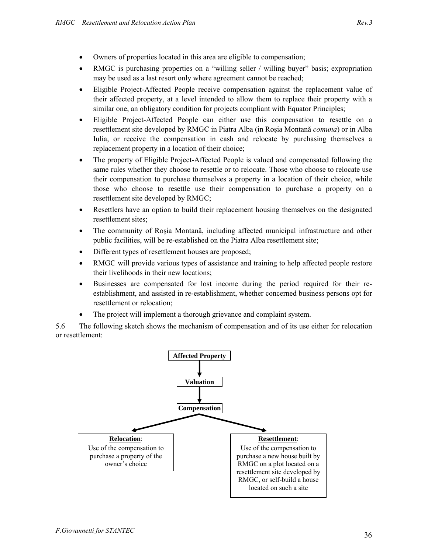- Owners of properties located in this area are eligible to compensation;
- RMGC is purchasing properties on a "willing seller / willing buyer" basis; expropriation may be used as a last resort only where agreement cannot be reached;
- Eligible Project-Affected People receive compensation against the replacement value of their affected property, at a level intended to allow them to replace their property with a similar one, an obligatory condition for projects compliant with Equator Principles;
- Eligible Project-Affected People can either use this compensation to resettle on a resettlement site developed by RMGC in Piatra Alba (in Roşia Montană *comuna*) or in Alba Iulia, or receive the compensation in cash and relocate by purchasing themselves a replacement property in a location of their choice;
- The property of Eligible Project-Affected People is valued and compensated following the same rules whether they choose to resettle or to relocate. Those who choose to relocate use their compensation to purchase themselves a property in a location of their choice, while those who choose to resettle use their compensation to purchase a property on a resettlement site developed by RMGC;
- Resettlers have an option to build their replacement housing themselves on the designated resettlement sites;
- The community of Roşia Montană, including affected municipal infrastructure and other public facilities, will be re-established on the Piatra Alba resettlement site;
- Different types of resettlement houses are proposed;
- RMGC will provide various types of assistance and training to help affected people restore their livelihoods in their new locations;
- Businesses are compensated for lost income during the period required for their reestablishment, and assisted in re-establishment, whether concerned business persons opt for resettlement or relocation;
- The project will implement a thorough grievance and complaint system.

5.6 The following sketch shows the mechanism of compensation and of its use either for relocation or resettlement:

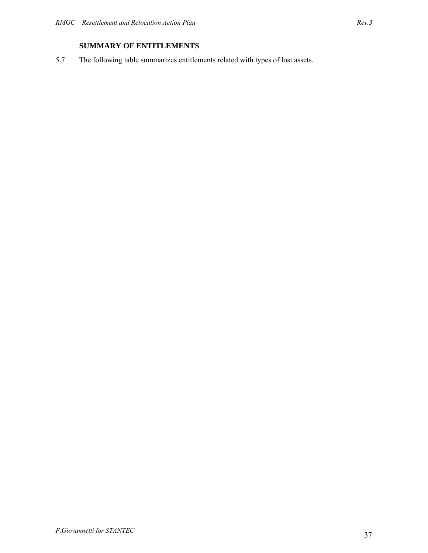# **SUMMARY OF ENTITLEMENTS**

5.7 The following table summarizes entitlements related with types of lost assets.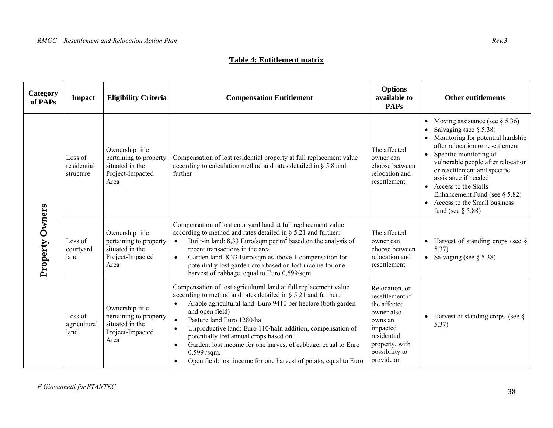#### **Table 4: Entitlement matrix**

| Category<br>of PAPs | Impact                              | <b>Eligibility Criteria</b>                                                              | <b>Compensation Entitlement</b>                                                                                                                                                                                                                                                                                                                                                                                                                                                                                                                                                      | <b>Options</b><br>available to<br><b>PAPs</b>                                                                                                           | <b>Other entitlements</b>                                                                                                                                                                                                                                                                                                                                                                                                      |
|---------------------|-------------------------------------|------------------------------------------------------------------------------------------|--------------------------------------------------------------------------------------------------------------------------------------------------------------------------------------------------------------------------------------------------------------------------------------------------------------------------------------------------------------------------------------------------------------------------------------------------------------------------------------------------------------------------------------------------------------------------------------|---------------------------------------------------------------------------------------------------------------------------------------------------------|--------------------------------------------------------------------------------------------------------------------------------------------------------------------------------------------------------------------------------------------------------------------------------------------------------------------------------------------------------------------------------------------------------------------------------|
| Property Owners     | Loss of<br>residential<br>structure | Ownership title<br>pertaining to property<br>situated in the<br>Project-Impacted<br>Area | Compensation of lost residential property at full replacement value<br>according to calculation method and rates detailed in $\S$ 5.8 and<br>further                                                                                                                                                                                                                                                                                                                                                                                                                                 | The affected<br>owner can<br>choose between<br>relocation and<br>resettlement                                                                           | Moving assistance (see $\S 5.36$ )<br>$\bullet$<br>Salvaging (see $\S 5.38$ )<br>Monitoring for potential hardship<br>after relocation or resettlement<br>Specific monitoring of<br>$\bullet$<br>vulnerable people after relocation<br>or resettlement and specific<br>assistance if needed<br>• Access to the Skills<br>Enhancement Fund (see $\S$ 5.82)<br>Access to the Small business<br>$\bullet$<br>fund (see $\S$ 5.88) |
|                     | Loss of<br>courtyard<br>land        | Ownership title<br>pertaining to property<br>situated in the<br>Project-Impacted<br>Area | Compensation of lost courtyard land at full replacement value<br>according to method and rates detailed in $\S$ 5.21 and further:<br>Built-in land: 8,33 Euro/sqm per $m2$ based on the analysis of<br>$\bullet$<br>recent transactions in the area<br>Garden land: $8,33$ Euro/sqm as above + compensation for<br>$\bullet$<br>potentially lost garden crop based on lost income for one<br>harvest of cabbage, equal to Euro 0,599/sqm                                                                                                                                             | The affected<br>owner can<br>choose between<br>relocation and<br>resettlement                                                                           | Harvest of standing crops (see $\S$<br>$\bullet$<br>5.37)<br>• Salvaging (see $\S$ 5.38)                                                                                                                                                                                                                                                                                                                                       |
|                     | Loss of<br>agricultural<br>land     | Ownership title<br>pertaining to property<br>situated in the<br>Project-Impacted<br>Area | Compensation of lost agricultural land at full replacement value<br>according to method and rates detailed in $\S$ 5.21 and further:<br>Arable agricultural land: Euro 9410 per hectare (both garden<br>$\bullet$<br>and open field)<br>Pasture land Euro 1280/ha<br>$\bullet$<br>Unproductive land: Euro 110/haIn addition, compensation of<br>$\bullet$<br>potentially lost annual crops based on:<br>Garden: lost income for one harvest of cabbage, equal to Euro<br>$\bullet$<br>$0,599$ /sqm.<br>Open field: lost income for one harvest of potato, equal to Euro<br>$\bullet$ | Relocation, or<br>resettlement if<br>the affected<br>owner also<br>owns an<br>impacted<br>residential<br>property, with<br>possibility to<br>provide an | Harvest of standing crops (see $\S$ )<br>5.37)                                                                                                                                                                                                                                                                                                                                                                                 |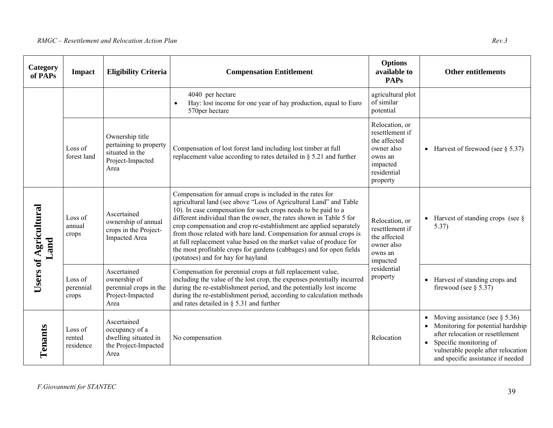| Category<br>of PAPs                  | <b>Impact</b>                  | <b>Eligibility Criteria</b>                                                              | <b>Compensation Entitlement</b>                                                                                                                                                                                                                                                                                                                                                                                                                                                                                                                                                                            | <b>Options</b><br>available to<br><b>PAPs</b>                                                                     | <b>Other entitlements</b>                                                                                                                                                                                                                 |
|--------------------------------------|--------------------------------|------------------------------------------------------------------------------------------|------------------------------------------------------------------------------------------------------------------------------------------------------------------------------------------------------------------------------------------------------------------------------------------------------------------------------------------------------------------------------------------------------------------------------------------------------------------------------------------------------------------------------------------------------------------------------------------------------------|-------------------------------------------------------------------------------------------------------------------|-------------------------------------------------------------------------------------------------------------------------------------------------------------------------------------------------------------------------------------------|
|                                      |                                |                                                                                          | 4040 per hectare<br>Hay: lost income for one year of hay production, equal to Euro<br>$\bullet$<br>570per hectare                                                                                                                                                                                                                                                                                                                                                                                                                                                                                          | agricultural plot<br>of similar<br>potential                                                                      |                                                                                                                                                                                                                                           |
|                                      | Loss of<br>forest land         | Ownership title<br>pertaining to property<br>situated in the<br>Project-Impacted<br>Area | Compensation of lost forest land including lost timber at full<br>replacement value according to rates detailed in $\S$ 5.21 and further                                                                                                                                                                                                                                                                                                                                                                                                                                                                   | Relocation, or<br>resettlement if<br>the affected<br>owner also<br>owns an<br>impacted<br>residential<br>property | • Harvest of firewood (see $\S$ 5.37)                                                                                                                                                                                                     |
| <b>Users of Agricultural</b><br>Land | Loss of<br>annual<br>crops     | Ascertained<br>ownership of annual<br>crops in the Project-<br>Impacted Area             | Compensation for annual crops is included in the rates for<br>agricultural land (see above "Loss of Agricultural Land" and Table<br>10). In case compensation for such crops needs to be paid to a<br>different individual than the owner, the rates shown in Table 5 for<br>crop compensation and crop re-establishment are applied separately<br>from those related with bare land. Compensation for annual crops is<br>at full replacement value based on the market value of produce for<br>the most profitable crops for gardens (cabbages) and for open fields<br>(potatoes) and for hay for hayland | Relocation, or<br>resettlement if<br>the affected<br>owner also<br>owns an<br>impacted                            | Harvest of standing crops (see $\S$<br>5.37)                                                                                                                                                                                              |
|                                      | Loss of<br>perennial<br>crops  | Ascertained<br>ownership of<br>perennial crops in the<br>Project-Impacted<br>Area        | Compensation for perennial crops at full replacement value,<br>including the value of the lost crop, the expenses potentially incurred<br>during the re-establishment period, and the potentially lost income<br>during the re-establishment period, according to calculation methods<br>and rates detailed in $\S$ 5.31 and further                                                                                                                                                                                                                                                                       | residential<br>property                                                                                           | • Harvest of standing crops and<br>firewood (see $\S$ 5.37)                                                                                                                                                                               |
| Tenants                              | Loss of<br>rented<br>residence | Ascertained<br>occupancy of a<br>dwelling situated in<br>the Project-Impacted<br>Area    | No compensation                                                                                                                                                                                                                                                                                                                                                                                                                                                                                                                                                                                            | Relocation                                                                                                        | Moving assistance (see $\S$ 5.36)<br>$\bullet$<br>Monitoring for potential hardship<br>after relocation or resettlement<br>Specific monitoring of<br>$\bullet$<br>vulnerable people after relocation<br>and specific assistance if needed |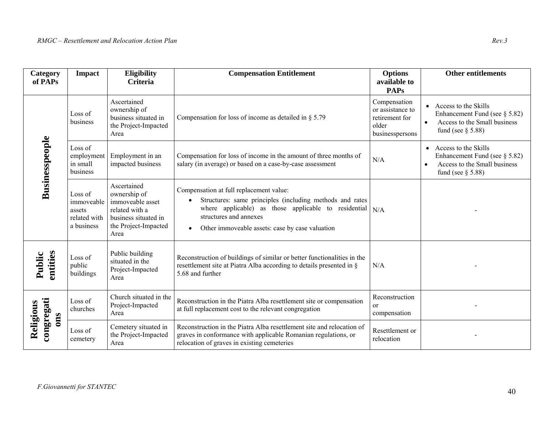| Category<br>of PAPs            | Impact                                                        | Eligibility<br><b>Criteria</b>                                                                                            | <b>Compensation Entitlement</b>                                                                                                                                                                                                                                          | <b>Options</b><br>available to<br><b>PAPs</b>                                  | <b>Other entitlements</b>                                                                                                                  |
|--------------------------------|---------------------------------------------------------------|---------------------------------------------------------------------------------------------------------------------------|--------------------------------------------------------------------------------------------------------------------------------------------------------------------------------------------------------------------------------------------------------------------------|--------------------------------------------------------------------------------|--------------------------------------------------------------------------------------------------------------------------------------------|
|                                | Loss of<br>business                                           | Ascertained<br>ownership of<br>business situated in<br>the Project-Impacted<br>Area                                       | Compensation for loss of income as detailed in $\S 5.79$                                                                                                                                                                                                                 | Compensation<br>or assistance to<br>retirement for<br>older<br>businesspersons | Access to the Skills<br>$\bullet$<br>Enhancement Fund (see $\S$ 5.82)<br>Access to the Small business<br>$\bullet$<br>fund (see $\S$ 5.88) |
| <b>Businesspeople</b>          | Loss of<br>employment<br>in small<br>business                 | Employment in an<br>impacted business                                                                                     | Compensation for loss of income in the amount of three months of<br>salary (in average) or based on a case-by-case assessment                                                                                                                                            | N/A                                                                            | Access to the Skills<br>$\bullet$<br>Enhancement Fund (see $\S$ 5.82)<br>Access to the Small business<br>$\bullet$<br>fund (see $\S$ 5.88) |
|                                | Loss of<br>immoveable<br>assets<br>related with<br>a business | Ascertained<br>ownership of<br>immoveable asset<br>related with a<br>business situated in<br>the Project-Impacted<br>Area | Compensation at full replacement value:<br>Structures: same principles (including methods and rates<br>$\bullet$<br>where applicable) as those applicable to residential $N/A$<br>structures and annexes<br>Other immoveable assets: case by case valuation<br>$\bullet$ |                                                                                |                                                                                                                                            |
| entities<br>Public             | Loss of<br>public<br>buildings                                | Public building<br>situated in the<br>Project-Impacted<br>Area                                                            | Reconstruction of buildings of similar or better functionalities in the<br>resettlement site at Piatra Alba according to details presented in §<br>5.68 and further                                                                                                      | N/A                                                                            |                                                                                                                                            |
| congregati<br>Religious<br>ons | Loss of<br>churches                                           | Church situated in the<br>Project-Impacted<br>Area                                                                        | Reconstruction in the Piatra Alba resettlement site or compensation<br>at full replacement cost to the relevant congregation                                                                                                                                             | Reconstruction<br><sub>or</sub><br>compensation                                |                                                                                                                                            |
|                                | Loss of<br>cemetery                                           | Cemetery situated in<br>the Project-Impacted<br>Area                                                                      | Reconstruction in the Piatra Alba resettlement site and relocation of<br>graves in conformance with applicable Romanian regulations, or<br>relocation of graves in existing cemeteries                                                                                   | Resettlement or<br>relocation                                                  |                                                                                                                                            |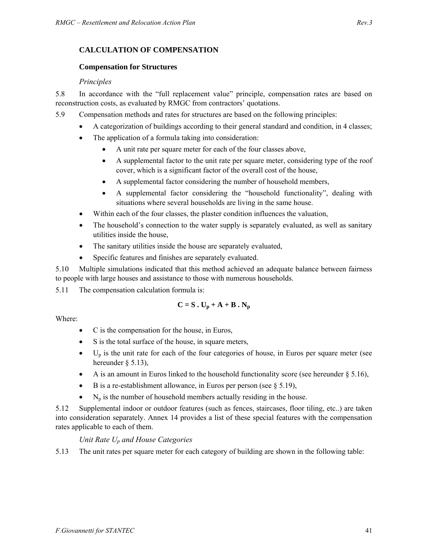# **CALCULATION OF COMPENSATION**

#### **Compensation for Structures**

#### *Principles*

5.8 In accordance with the "full replacement value" principle, compensation rates are based on reconstruction costs, as evaluated by RMGC from contractors' quotations.

5.9 Compensation methods and rates for structures are based on the following principles:

- A categorization of buildings according to their general standard and condition, in 4 classes;
- The application of a formula taking into consideration:
	- A unit rate per square meter for each of the four classes above,
	- A supplemental factor to the unit rate per square meter, considering type of the roof cover, which is a significant factor of the overall cost of the house,
	- A supplemental factor considering the number of household members,
	- A supplemental factor considering the "household functionality", dealing with situations where several households are living in the same house.
- Within each of the four classes, the plaster condition influences the valuation,
- The household's connection to the water supply is separately evaluated, as well as sanitary utilities inside the house,
- The sanitary utilities inside the house are separately evaluated,
- Specific features and finishes are separately evaluated.

5.10 Multiple simulations indicated that this method achieved an adequate balance between fairness to people with large houses and assistance to those with numerous households.

5.11 The compensation calculation formula is:

$$
C = S \cdot U_p + A + B \cdot N_p
$$

Where:

- C is the compensation for the house, in Euros,
- S is the total surface of the house, in square meters,
- $\bullet$  U<sub>p</sub> is the unit rate for each of the four categories of house, in Euros per square meter (see hereunder § 5.13),
- A is an amount in Euros linked to the household functionality score (see hereunder  $\S 5.16$ ),
- B is a re-establishment allowance, in Euros per person (see  $\S 5.19$ ),
- $N_p$  is the number of household members actually residing in the house.

5.12 Supplemental indoor or outdoor features (such as fences, staircases, floor tiling, etc..) are taken into consideration separately. Annex 14 provides a list of these special features with the compensation rates applicable to each of them.

# *Unit Rate Up and House Categories*

5.13 The unit rates per square meter for each category of building are shown in the following table: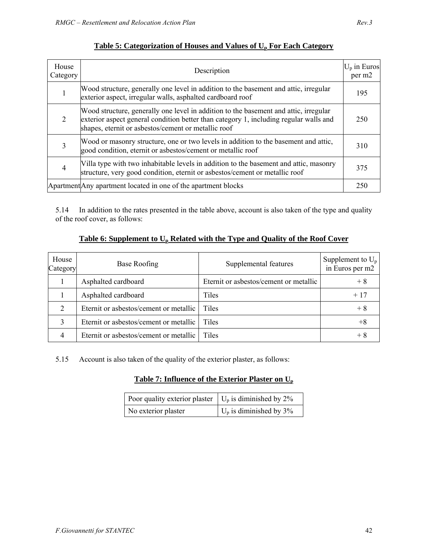| House<br>Category | Description                                                                                                                                                                                                                          | $U_p$ in Euros<br>per m2 |
|-------------------|--------------------------------------------------------------------------------------------------------------------------------------------------------------------------------------------------------------------------------------|--------------------------|
|                   | Wood structure, generally one level in addition to the basement and attic, irregular<br>exterior aspect, irregular walls, asphalted cardboard roof                                                                                   | 195                      |
| 2                 | Wood structure, generally one level in addition to the basement and attic, irregular<br>exterior aspect general condition better than category 1, including regular walls and<br>shapes, eternit or asbestos/cement or metallic roof | 250                      |
|                   | Wood or masonry structure, one or two levels in addition to the basement and attic,<br>good condition, eternit or asbestos/cement or metallic roof                                                                                   | 310                      |
| 4                 | Villa type with two inhabitable levels in addition to the basement and attic, masonry<br>structure, very good condition, eternit or asbestos/cement or metallic roof                                                                 | 375                      |
|                   | Apartment Any apartment located in one of the apartment blocks                                                                                                                                                                       | 250                      |

# **Table 5: Categorization of Houses and Values of Up For Each Category**

5.14 In addition to the rates presented in the table above, account is also taken of the type and quality of the roof cover, as follows:

## Table 6: Supplement to U<sub>p</sub> Related with the Type and Quality of the Roof Cover

| House<br>Category | <b>Base Roofing</b>                    | Supplemental features                  | Supplement to $U_p$<br>in Euros per m2 |
|-------------------|----------------------------------------|----------------------------------------|----------------------------------------|
|                   | Asphalted cardboard                    | Eternit or asbestos/cement or metallic | $+8$                                   |
|                   | Asphalted cardboard                    | Tiles                                  | $+17$                                  |
| $\overline{2}$    | Eternit or asbestos/cement or metallic | Tiles                                  | $+8$                                   |
| 3                 | Eternit or asbestos/cement or metallic | <b>Tiles</b>                           | $+8$                                   |
| 4                 | Eternit or asbestos/cement or metallic | Tiles                                  | $+8$                                   |

5.15 Account is also taken of the quality of the exterior plaster, as follows:

# **Table 7: Influence of the Exterior Plaster on Up**

| Poor quality exterior plaster $\mid U_p$ is diminished by 2% |                                   |
|--------------------------------------------------------------|-----------------------------------|
| No exterior plaster                                          | $\bigcup_{p}$ is diminished by 3% |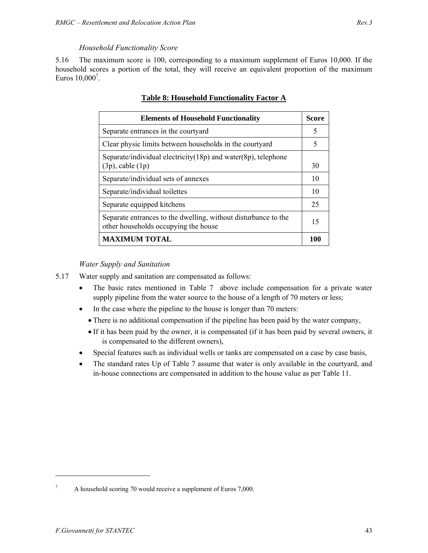#### *Household Functionality Score*

5.16 The maximum score is 100, corresponding to a maximum supplement of Euros 10,000. If the household scores a portion of the total, they will receive an equivalent proportion of the maximum Euros 10,000<sup>7</sup>.

| <b>Elements of Household Functionality</b>                                                             | <b>Score</b> |
|--------------------------------------------------------------------------------------------------------|--------------|
| Separate entrances in the courty and                                                                   | 5            |
| Clear physic limits between households in the courty and                                               | 5            |
| Separate/individual electricity(18p) and water(8p), telephone<br>$(3p)$ , cable $(1p)$                 | 30           |
| Separate/individual sets of annexes                                                                    | 10           |
| Separate/individual toilettes                                                                          | 10           |
| Separate equipped kitchens                                                                             | 25           |
| Separate entrances to the dwelling, without disturbance to the<br>other households occupying the house | 15           |
| <b>MAXIMUM TOTAL</b>                                                                                   | 100          |

#### **Table 8: Household Functionality Factor A**

#### *Water Supply and Sanitation*

- 5.17 Water supply and sanitation are compensated as follows:
	- The basic rates mentioned in Table 7 above include compensation for a private water supply pipeline from the water source to the house of a length of 70 meters or less;
	- In the case where the pipeline to the house is longer than 70 meters:
		- There is no additional compensation if the pipeline has been paid by the water company,
		- If it has been paid by the owner, it is compensated (if it has been paid by several owners, it is compensated to the different owners),
	- Special features such as individual wells or tanks are compensated on a case by case basis,
	- The standard rates Up of Table 7 assume that water is only available in the courtyard, and in-house connections are compensated in addition to the house value as per Table 11.

<sup>7</sup> A household scoring 70 would receive a supplement of Euros 7,000.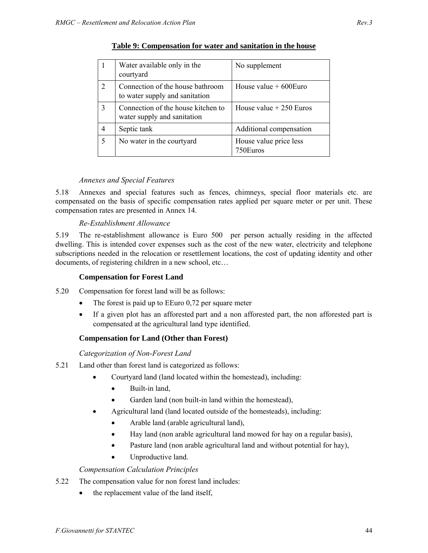|   | Water available only in the<br>courtyard                           | No supplement                      |
|---|--------------------------------------------------------------------|------------------------------------|
| 2 | Connection of the house bathroom<br>to water supply and sanitation | House value $+600$ Euro            |
| 3 | Connection of the house kitchen to<br>water supply and sanitation  | House value $+250$ Euros           |
| 4 | Septic tank                                                        | Additional compensation            |
| 5 | No water in the courtyard                                          | House value price less<br>750Euros |

## **Table 9: Compensation for water and sanitation in the house**

#### *Annexes and Special Features*

5.18 Annexes and special features such as fences, chimneys, special floor materials etc. are compensated on the basis of specific compensation rates applied per square meter or per unit. These compensation rates are presented in Annex 14.

#### *Re-Establishment Allowance*

5.19 The re-establishment allowance is Euro 500 per person actually residing in the affected dwelling. This is intended cover expenses such as the cost of the new water, electricity and telephone subscriptions needed in the relocation or resettlement locations, the cost of updating identity and other documents, of registering children in a new school, etc…

#### **Compensation for Forest Land**

- 5.20 Compensation for forest land will be as follows:
	- The forest is paid up to  $E_{\text{Euro 0,72}}$  per square meter
	- If a given plot has an afforested part and a non afforested part, the non afforested part is compensated at the agricultural land type identified.

#### **Compensation for Land (Other than Forest)**

#### *Categorization of Non-Forest Land*

- 5.21 Land other than forest land is categorized as follows:
	- Courtyard land (land located within the homestead), including:
		- Built-in land,
		- Garden land (non built-in land within the homestead),
	- Agricultural land (land located outside of the homesteads), including:
		- Arable land (arable agricultural land),
		- Hay land (non arable agricultural land mowed for hay on a regular basis),
		- Pasture land (non arable agricultural land and without potential for hay),
		- Unproductive land.

#### *Compensation Calculation Principles*

- 5.22 The compensation value for non forest land includes:
	- the replacement value of the land itself,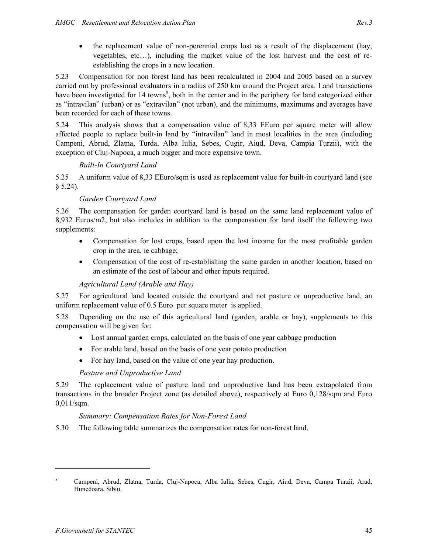• the replacement value of non-perennial crops lost as a result of the displacement (hay, vegetables, etc…), including the market value of the lost harvest and the cost of reestablishing the crops in a new location.

5.23 Compensation for non forest land has been recalculated in 2004 and 2005 based on a survey carried out by professional evaluators in a radius of 250 km around the Project area. Land transactions have been investigated for 14 towns<sup>8</sup>, both in the center and in the periphery for land categorized either as "intravilan" (urban) or as "extravilan" (not urban), and the minimums, maximums and averages have been recorded for each of these towns.

5.24 This analysis shows that a compensation value of 8,33 EEuro per square meter will allow affected people to replace built-in land by "intravilan" land in most localities in the area (including Campeni, Abrud, Zlatna, Turda, Alba Iulia, Sebes, Cugir, Aiud, Deva, Campia Turzii), with the exception of Cluj-Napoca, a much bigger and more expensive town.

#### *Built-In Courtyard Land*

5.25 A uniform value of 8,33 EEuro/sqm is used as replacement value for built-in courtyard land (see  $$5.24$ ).

#### *Garden Courtyard Land*

5.26 The compensation for garden courtyard land is based on the same land replacement value of 8,932 Euros/m2, but also includes in addition to the compensation for land itself the following two supplements:

- Compensation for lost crops, based upon the lost income for the most profitable garden crop in the area, ie cabbage;
- Compensation of the cost of re-establishing the same garden in another location, based on an estimate of the cost of labour and other inputs required.

#### *Agricultural Land (Arable and Hay)*

5.27 For agricultural land located outside the courtyard and not pasture or unproductive land, an uniform replacement value of 0.5 Euro per square meter is applied.

5.28 Depending on the use of this agricultural land (garden, arable or hay), supplements to this compensation will be given for:

- Lost annual garden crops, calculated on the basis of one year cabbage production
- For arable land, based on the basis of one year potato production
- For hay land, based on the value of one year hay production.

#### *Pasture and Unproductive Land*

5.29 The replacement value of pasture land and unproductive land has been extrapolated from transactions in the broader Project zone (as detailed above), respectively at Euro 0,128/sqm and Euro 0,011/sqm.

#### *Summary: Compensation Rates for Non-Forest Land*

5.30 The following table summarizes the compensation rates for non-forest land.

<sup>8</sup> Campeni, Abrud, Zlatna, Turda, Cluj-Napoca, Alba Iulia, Sebes, Cugir, Aiud, Deva, Campa Turzii, Arad, Hunedoara, Sibiu.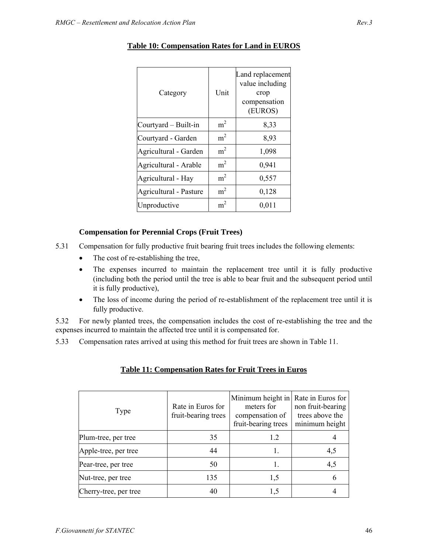| Category               | Unit           | Land replacement<br>value including<br>crop<br>compensation<br>(EUROS) |
|------------------------|----------------|------------------------------------------------------------------------|
| Courtyard – Built-in   | m <sup>2</sup> | 8,33                                                                   |
| Courtyard - Garden     | m <sup>2</sup> | 8,93                                                                   |
| Agricultural - Garden  | m <sup>2</sup> | 1,098                                                                  |
| Agricultural - Arable  | m <sup>2</sup> | 0,941                                                                  |
| Agricultural - Hay     | m <sup>2</sup> | 0,557                                                                  |
| Agricultural - Pasture | m <sup>2</sup> | 0,128                                                                  |
| Unproductive           | m <sup>2</sup> | 0,011                                                                  |

## **Table 10: Compensation Rates for Land in EUROS**

#### **Compensation for Perennial Crops (Fruit Trees)**

- 5.31 Compensation for fully productive fruit bearing fruit trees includes the following elements:
	- The cost of re-establishing the tree,
	- The expenses incurred to maintain the replacement tree until it is fully productive (including both the period until the tree is able to bear fruit and the subsequent period until it is fully productive),
	- The loss of income during the period of re-establishment of the replacement tree until it is fully productive.

5.32 For newly planted trees, the compensation includes the cost of re-establishing the tree and the expenses incurred to maintain the affected tree until it is compensated for.

5.33 Compensation rates arrived at using this method for fruit trees are shown in Table 11.

#### **Table 11: Compensation Rates for Fruit Trees in Euros**

| Type                  | Rate in Euros for<br>fruit-bearing trees | Minimum height in Rate in Euros for<br>meters for<br>compensation of<br>fruit-bearing trees | non fruit-bearing<br>trees above the<br>minimum height |
|-----------------------|------------------------------------------|---------------------------------------------------------------------------------------------|--------------------------------------------------------|
| Plum-tree, per tree   | 35                                       | 1.2                                                                                         |                                                        |
| Apple-tree, per tree  | 44                                       | 1.                                                                                          | 4,5                                                    |
| Pear-tree, per tree   | 50                                       |                                                                                             | 4,5                                                    |
| Nut-tree, per tree    | 135                                      | 1,5                                                                                         |                                                        |
| Cherry-tree, per tree | 40                                       | 1,5                                                                                         |                                                        |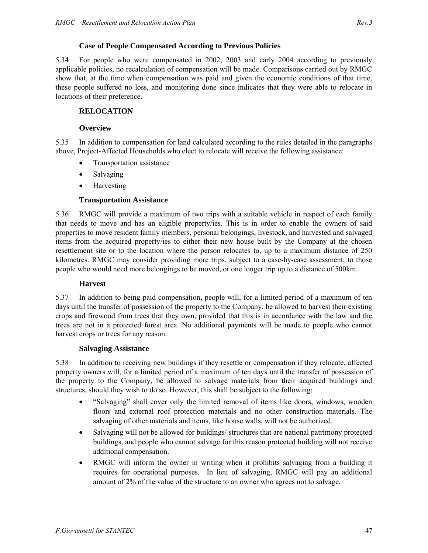#### **Case of People Compensated According to Previous Policies**

5.34 For people who were compensated in 2002, 2003 and early 2004 according to previously applicable policies, no recalculation of compensation will be made. Comparisons carried out by RMGC show that, at the time when compensation was paid and given the economic conditions of that time, these people suffered no loss, and monitoring done since indicates that they were able to relocate in locations of their preference.

#### **RELOCATION**

#### **Overview**

5.35 In addition to compensation for land calculated according to the rules detailed in the paragraphs above, Project-Affected Households who elect to relocate will receive the following assistance:

- Transportation assistance
- Salvaging
- Harvesting

#### **Transportation Assistance**

5.36 RMGC will provide a maximum of two trips with a suitable vehicle in respect of each family that needs to move and has an eligible property/ies. This is in order to enable the owners of said properties to move resident family members, personal belongings, livestock, and harvested and salvaged items from the acquired property/ies to either their new house built by the Company at the chosen resettlement site or to the location where the person relocates to, up to a maximum distance of 250 kilometres. RMGC may consider providing more trips, subject to a case-by-case assessment, to those people who would need more belongings to be moved, or one longer trip up to a distance of 500km.

#### **Harvest**

5.37 In addition to being paid compensation, people will, for a limited period of a maximum of ten days until the transfer of possession of the property to the Company, be allowed to harvest their existing crops and firewood from trees that they own, provided that this is in accordance with the law and the trees are not in a protected forest area. No additional payments will be made to people who cannot harvest crops or trees for any reason.

#### **Salvaging Assistance**

5.38 In addition to receiving new buildings if they resettle or compensation if they relocate, affected property owners will, for a limited period of a maximum of ten days until the transfer of possession of the property to the Company, be allowed to salvage materials from their acquired buildings and structures, should they wish to do so. However, this shall be subject to the following:

- "Salvaging" shall cover only the limited removal of items like doors, windows, wooden floors and external roof protection materials and no other construction materials. The salvaging of other materials and items, like house walls, will not be authorized.
- Salvaging will not be allowed for buildings/ structures that are national patrimony protected buildings, and people who cannot salvage for this reason protected building will not receive additional compensation.
- RMGC will inform the owner in writing when it prohibits salvaging from a building it requires for operational purposes. In lieu of salvaging, RMGC will pay an additional amount of 2% of the value of the structure to an owner who agrees not to salvage.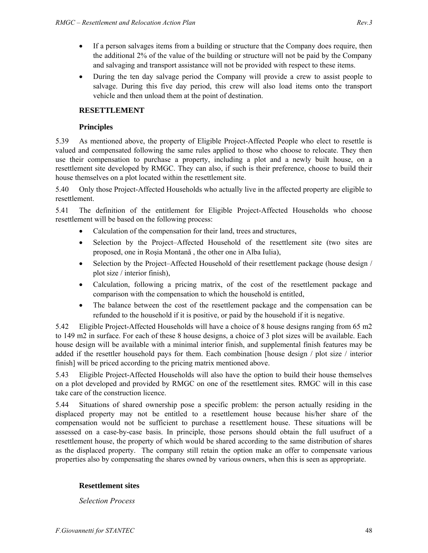- If a person salvages items from a building or structure that the Company does require, then the additional 2% of the value of the building or structure will not be paid by the Company and salvaging and transport assistance will not be provided with respect to these items.
- During the ten day salvage period the Company will provide a crew to assist people to salvage. During this five day period, this crew will also load items onto the transport vehicle and then unload them at the point of destination.

## **RESETTLEMENT**

#### **Principles**

5.39 As mentioned above, the property of Eligible Project-Affected People who elect to resettle is valued and compensated following the same rules applied to those who choose to relocate. They then use their compensation to purchase a property, including a plot and a newly built house, on a resettlement site developed by RMGC. They can also, if such is their preference, choose to build their house themselves on a plot located within the resettlement site.

5.40 Only those Project-Affected Households who actually live in the affected property are eligible to resettlement.

5.41 The definition of the entitlement for Eligible Project-Affected Households who choose resettlement will be based on the following process:

- Calculation of the compensation for their land, trees and structures,
- Selection by the Project–Affected Household of the resettlement site (two sites are proposed, one in Roşia Montană , the other one in Alba Iulia),
- Selection by the Project–Affected Household of their resettlement package (house design / plot size / interior finish),
- Calculation, following a pricing matrix, of the cost of the resettlement package and comparison with the compensation to which the household is entitled,
- The balance between the cost of the resettlement package and the compensation can be refunded to the household if it is positive, or paid by the household if it is negative.

5.42 Eligible Project-Affected Households will have a choice of 8 house designs ranging from 65 m2 to 149 m2 in surface. For each of these 8 house designs, a choice of 3 plot sizes will be available. Each house design will be available with a minimal interior finish, and supplemental finish features may be added if the resettler household pays for them. Each combination [house design / plot size / interior finish] will be priced according to the pricing matrix mentioned above.

5.43 Eligible Project-Affected Households will also have the option to build their house themselves on a plot developed and provided by RMGC on one of the resettlement sites. RMGC will in this case take care of the construction licence.

5.44 Situations of shared ownership pose a specific problem: the person actually residing in the displaced property may not be entitled to a resettlement house because his/her share of the compensation would not be sufficient to purchase a resettlement house. These situations will be assessed on a case-by-case basis. In principle, those persons should obtain the full usufruct of a resettlement house, the property of which would be shared according to the same distribution of shares as the displaced property. The company still retain the option make an offer to compensate various properties also by compensating the shares owned by various owners, when this is seen as appropriate.

#### **Resettlement sites**

*Selection Process*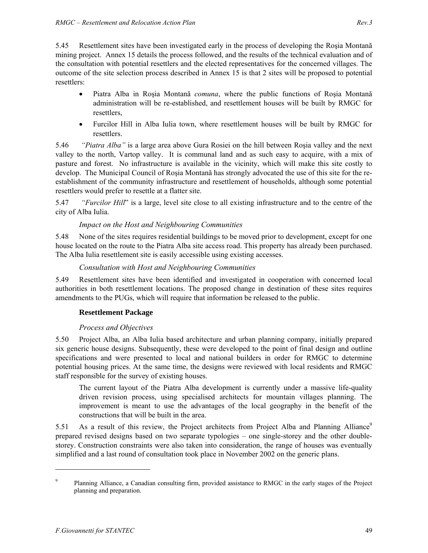5.45 Resettlement sites have been investigated early in the process of developing the Roşia Montană mining project. Annex 15 details the process followed, and the results of the technical evaluation and of the consultation with potential resettlers and the elected representatives for the concerned villages. The outcome of the site selection process described in Annex 15 is that 2 sites will be proposed to potential resettlers:

- Piatra Alba in Roşia Montană *comuna*, where the public functions of Roşia Montană administration will be re-established, and resettlement houses will be built by RMGC for resettlers,
- Furcilor Hill in Alba Iulia town, where resettlement houses will be built by RMGC for resettlers.

5.46 *"Piatra Alba"* is a large area above Gura Rosiei on the hill between Roşia valley and the next valley to the north, Vartop valley. It is communal land and as such easy to acquire, with a mix of pasture and forest. No infrastructure is available in the vicinity, which will make this site costly to develop. The Municipal Council of Roşia Montană has strongly advocated the use of this site for the reestablishment of the community infrastructure and resettlement of households, although some potential resettlers would prefer to resettle at a flatter site.

5.47 *"Furcilor Hill*" is a large, level site close to all existing infrastructure and to the centre of the city of Alba Iulia.

## *Impact on the Host and Neighbouring Communities*

5.48 None of the sites requires residential buildings to be moved prior to development, except for one house located on the route to the Piatra Alba site access road. This property has already been purchased. The Alba Iulia resettlement site is easily accessible using existing accesses.

#### *Consultation with Host and Neighbouring Communities*

5.49 Resettlement sites have been identified and investigated in cooperation with concerned local authorities in both resettlement locations. The proposed change in destination of these sites requires amendments to the PUGs, which will require that information be released to the public.

#### **Resettlement Package**

#### *Process and Objectives*

5.50 Project Alba, an Alba Iulia based architecture and urban planning company, initially prepared six generic house designs. Subsequently, these were developed to the point of final design and outline specifications and were presented to local and national builders in order for RMGC to determine potential housing prices. At the same time, the designs were reviewed with local residents and RMGC staff responsible for the survey of existing houses.

The current layout of the Piatra Alba development is currently under a massive life-quality driven revision process, using specialised architects for mountain villages planning. The improvement is meant to use the advantages of the local geography in the benefit of the constructions that will be built in the area.

5.51 As a result of this review, the Project architects from Project Alba and Planning Alliance<sup>9</sup> prepared revised designs based on two separate typologies – one single-storey and the other doublestorey. Construction constraints were also taken into consideration, the range of houses was eventually simplified and a last round of consultation took place in November 2002 on the generic plans.

 $\overline{a}$ 

<sup>9</sup> Planning Alliance, a Canadian consulting firm, provided assistance to RMGC in the early stages of the Project planning and preparation.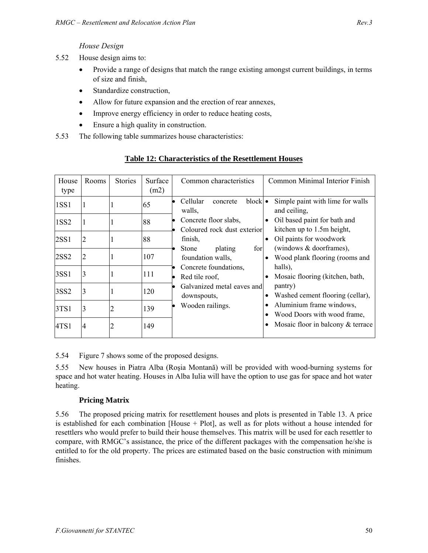#### *House Design*

- 5.52 House design aims to:
	- Provide a range of designs that match the range existing amongst current buildings, in terms of size and finish,
	- Standardize construction,
	- Allow for future expansion and the erection of rear annexes,
	- Improve energy efficiency in order to reduce heating costs,
	- Ensure a high quality in construction.
- 5.53 The following table summarizes house characteristics:

| House<br>type    | Rooms         | <b>Stories</b> | Surface<br>(m2) | Common characteristics                               | Common Minimal Interior Finish                                            |
|------------------|---------------|----------------|-----------------|------------------------------------------------------|---------------------------------------------------------------------------|
| 1SS1             |               |                | 65              | $block$ $\bullet$<br>Cellular<br>concrete<br>walls,  | Simple paint with lime for walls<br>and ceiling,                          |
| 1SS2             |               |                | 88              | Concrete floor slabs,<br>Coloured rock dust exterior | Oil based paint for bath and<br>$\bullet$<br>kitchen up to 1.5m height,   |
| 2SS1             |               |                | 88              | finish,                                              | Oil paints for woodwork<br>$\bullet$                                      |
| <b>2SS2</b>      |               |                | 107             | plating<br>for<br>Stone<br>foundation walls,         | (windows & doorframes),<br>Wood plank flooring (rooms and                 |
| 3SS1             | $\rightarrow$ |                | 111             | Concrete foundations,<br>Red tile roof.              | halls),<br>Mosaic flooring (kitchen, bath,                                |
| 3SS <sub>2</sub> | 3             |                | 120             | Galvanized metal eaves and<br>downspouts,            | pantry)<br>Washed cement flooring (cellar),<br>٠                          |
| 3TS1             | 3             | 2              | 139             | Wooden railings.                                     | Aluminium frame windows,<br>٠<br>Wood Doors with wood frame,<br>$\bullet$ |
| 4TS1             | 14            | 2              | 149             |                                                      | Mosaic floor in balcony & terrace<br>$\bullet$                            |

## **Table 12: Characteristics of the Resettlement Houses**

5.54 Figure 7 shows some of the proposed designs.

5.55 New houses in Piatra Alba (Roşia Montană) will be provided with wood-burning systems for space and hot water heating. Houses in Alba Iulia will have the option to use gas for space and hot water heating.

#### **Pricing Matrix**

5.56 The proposed pricing matrix for resettlement houses and plots is presented in Table 13. A price is established for each combination [House + Plot], as well as for plots without a house intended for resettlers who would prefer to build their house themselves. This matrix will be used for each resettler to compare, with RMGC's assistance, the price of the different packages with the compensation he/she is entitled to for the old property. The prices are estimated based on the basic construction with minimum finishes.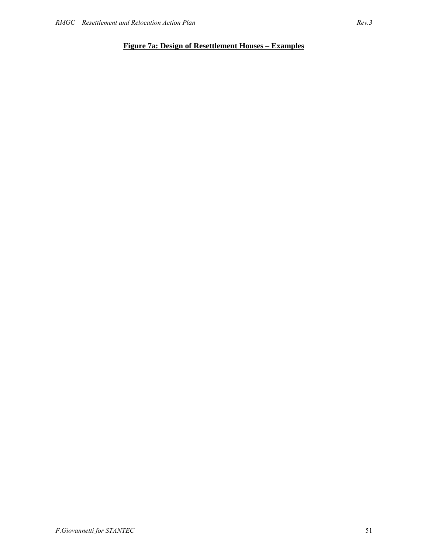# **Figure 7a: Design of Resettlement Houses – Examples**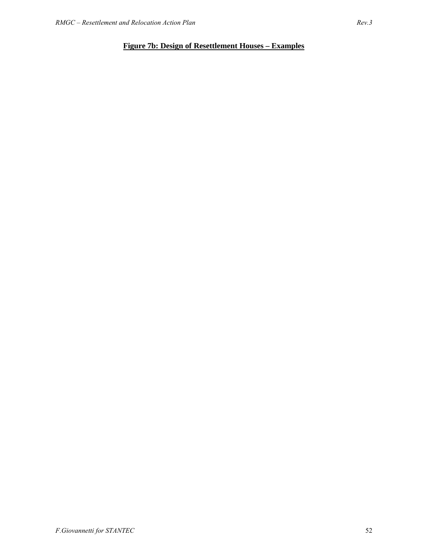# **Figure 7b: Design of Resettlement Houses – Examples**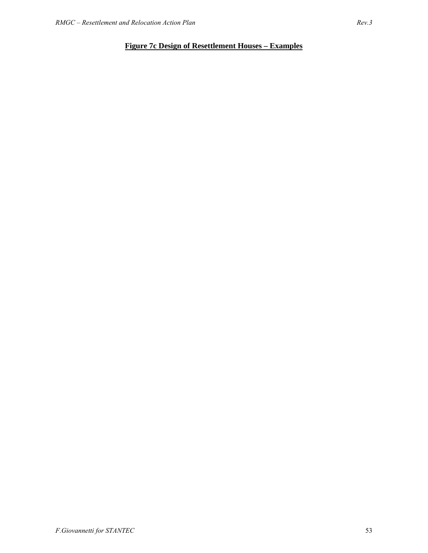# **Figure 7c Design of Resettlement Houses – Examples**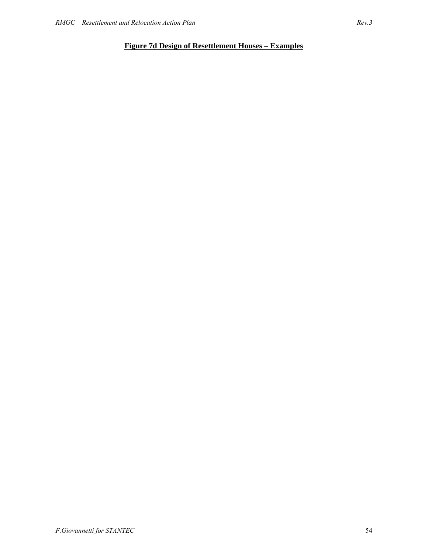# **Figure 7d Design of Resettlement Houses – Examples**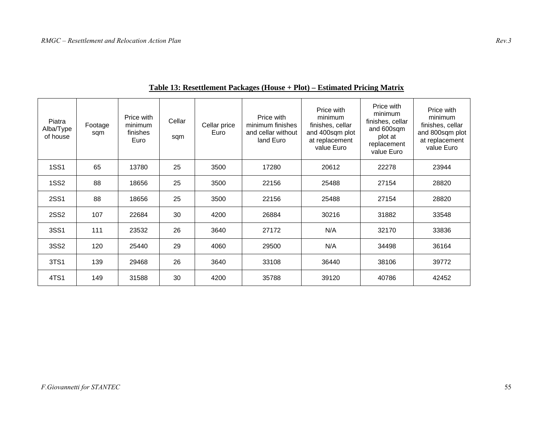| Piatra<br>Alba/Type<br>of house | Footage<br>sqm | Price with<br>minimum<br>finishes<br>Euro | Cellar<br>sqm | Cellar price<br>Euro | Price with<br>minimum finishes<br>and cellar without<br>land Euro | Price with<br>minimum<br>finishes, cellar<br>and 400sqm plot<br>at replacement<br>value Euro | Price with<br>minimum<br>finishes, cellar<br>and 600sqm<br>plot at<br>replacement<br>value Euro | Price with<br>minimum<br>finishes, cellar<br>and 800sqm plot<br>at replacement<br>value Euro |
|---------------------------------|----------------|-------------------------------------------|---------------|----------------------|-------------------------------------------------------------------|----------------------------------------------------------------------------------------------|-------------------------------------------------------------------------------------------------|----------------------------------------------------------------------------------------------|
| <b>1SS1</b>                     | 65             | 13780                                     | 25            | 3500                 | 17280                                                             | 20612                                                                                        | 22278                                                                                           | 23944                                                                                        |
| <b>1SS2</b>                     | 88             | 18656                                     | 25            | 3500                 | 22156                                                             | 25488                                                                                        | 27154                                                                                           | 28820                                                                                        |
| <b>2SS1</b>                     | 88             | 18656                                     | 25            | 3500                 | 22156                                                             | 25488                                                                                        | 27154                                                                                           | 28820                                                                                        |
| <b>2SS2</b>                     | 107            | 22684                                     | 30            | 4200                 | 26884                                                             | 30216                                                                                        | 31882                                                                                           | 33548                                                                                        |
| 3SS1                            | 111            | 23532                                     | 26            | 3640                 | 27172                                                             | N/A                                                                                          | 32170                                                                                           | 33836                                                                                        |
| 3SS2                            | 120            | 25440                                     | 29            | 4060                 | 29500                                                             | N/A                                                                                          | 34498                                                                                           | 36164                                                                                        |
| 3TS1                            | 139            | 29468                                     | 26            | 3640                 | 33108                                                             | 36440                                                                                        | 38106                                                                                           | 39772                                                                                        |
| 4TS1                            | 149            | 31588                                     | 30            | 4200                 | 35788                                                             | 39120                                                                                        | 40786                                                                                           | 42452                                                                                        |

## **Table 13: Resettlement Packages (House + Plot) – Estimated Pricing Matrix**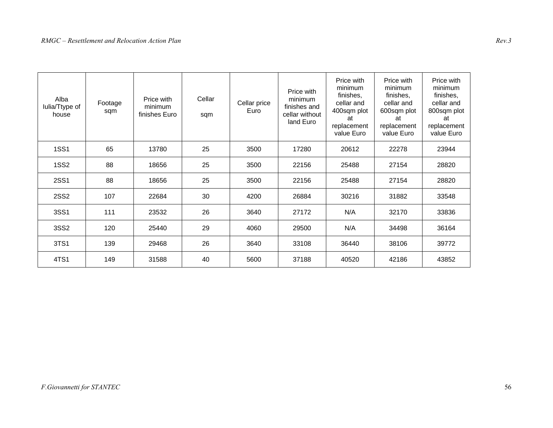| Alba<br>Iulia/Ttype of<br>house | Footage<br>sqm | Price with<br>minimum<br>finishes Euro | Cellar<br>sqm | Cellar price<br>Euro | Price with<br>minimum<br>finishes and<br>cellar without<br>land Euro | Price with<br>minimum<br>finishes,<br>cellar and<br>400sqm plot<br>at<br>replacement<br>value Euro | Price with<br>minimum<br>finishes,<br>cellar and<br>600sqm plot<br>at<br>replacement<br>value Euro | Price with<br>minimum<br>finishes,<br>cellar and<br>800sqm plot<br>at<br>replacement<br>value Euro |
|---------------------------------|----------------|----------------------------------------|---------------|----------------------|----------------------------------------------------------------------|----------------------------------------------------------------------------------------------------|----------------------------------------------------------------------------------------------------|----------------------------------------------------------------------------------------------------|
| <b>1SS1</b>                     | 65             | 13780                                  | 25            | 3500                 | 17280                                                                | 20612                                                                                              | 22278                                                                                              | 23944                                                                                              |
| <b>1SS2</b>                     | 88             | 18656                                  | 25            | 3500                 | 22156                                                                | 25488                                                                                              | 27154                                                                                              | 28820                                                                                              |
| <b>2SS1</b>                     | 88             | 18656                                  | 25            | 3500                 | 22156                                                                | 25488                                                                                              | 27154                                                                                              | 28820                                                                                              |
| <b>2SS2</b>                     | 107            | 22684                                  | 30            | 4200                 | 26884                                                                | 30216                                                                                              | 31882                                                                                              | 33548                                                                                              |
| 3SS1                            | 111            | 23532                                  | 26            | 3640                 | 27172                                                                | N/A                                                                                                | 32170                                                                                              | 33836                                                                                              |
| 3SS2                            | 120            | 25440                                  | 29            | 4060                 | 29500                                                                | N/A                                                                                                | 34498                                                                                              | 36164                                                                                              |
| 3TS1                            | 139            | 29468                                  | 26            | 3640                 | 33108                                                                | 36440                                                                                              | 38106                                                                                              | 39772                                                                                              |
| 4TS1                            | 149            | 31588                                  | 40            | 5600                 | 37188                                                                | 40520                                                                                              | 42186                                                                                              | 43852                                                                                              |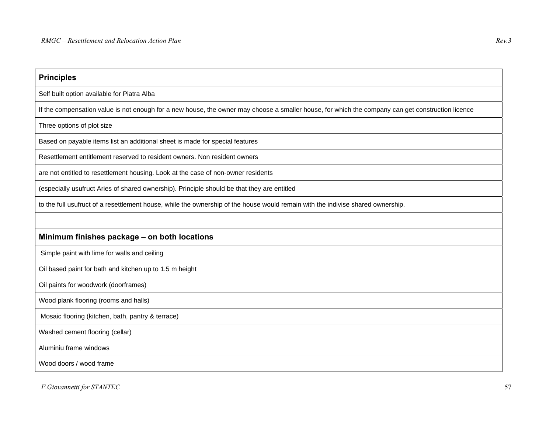| <b>Principles</b>                                                                                                                                 |
|---------------------------------------------------------------------------------------------------------------------------------------------------|
| Self built option available for Piatra Alba                                                                                                       |
| If the compensation value is not enough for a new house, the owner may choose a smaller house, for which the company can get construction licence |
| Three options of plot size                                                                                                                        |
| Based on payable items list an additional sheet is made for special features                                                                      |
| Resettlement entitlement reserved to resident owners. Non resident owners                                                                         |
| are not entitled to resettlement housing. Look at the case of non-owner residents                                                                 |
| (especially usufruct Aries of shared ownership). Principle should be that they are entitled                                                       |
| to the full usufruct of a resettlement house, while the ownership of the house would remain with the indivise shared ownership.                   |
|                                                                                                                                                   |
| Minimum finishes package - on both locations                                                                                                      |
| Simple paint with lime for walls and ceiling                                                                                                      |
| Oil based paint for bath and kitchen up to 1.5 m height                                                                                           |
| Oil paints for woodwork (doorframes)                                                                                                              |
| Wood plank flooring (rooms and halls)                                                                                                             |
| Mosaic flooring (kitchen, bath, pantry & terrace)                                                                                                 |
| Washed cement flooring (cellar)                                                                                                                   |
| Aluminiu frame windows                                                                                                                            |
| Wood doors / wood frame                                                                                                                           |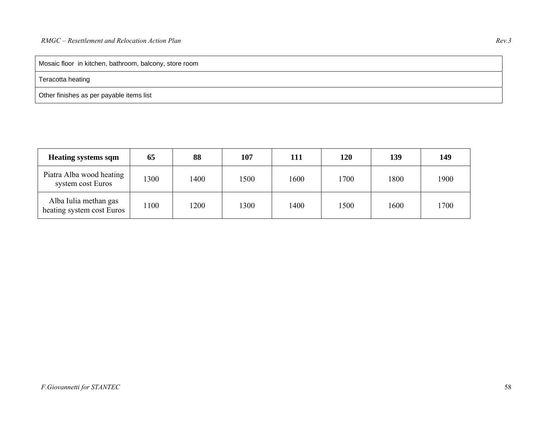Mosaic floor in kitchen, bathroom, balcony, store room

#### Teracotta heating

Other finishes as per payable items list

| <b>Heating systems sqm</b>                         | 65   | 88   | 107  | 111  | 120  | 139  | 149  |
|----------------------------------------------------|------|------|------|------|------|------|------|
| Piatra Alba wood heating<br>system cost Euros      | 1300 | 1400 | 1500 | 1600 | 1700 | 1800 | 1900 |
| Alba Iulia methan gas<br>heating system cost Euros | 100  | 1200 | 1300 | 1400 | 1500 | 1600 | 1700 |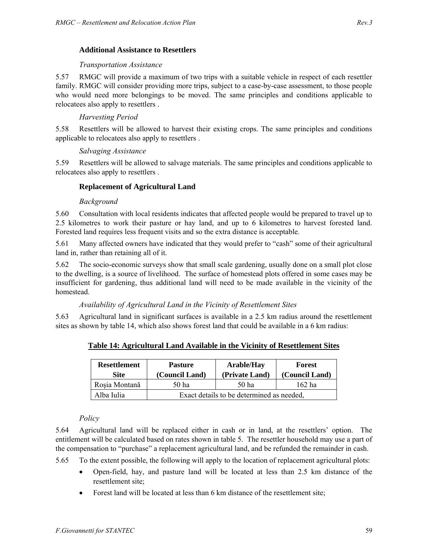#### *Transportation Assistance*

5.57 RMGC will provide a maximum of two trips with a suitable vehicle in respect of each resettler family. RMGC will consider providing more trips, subject to a case-by-case assessment, to those people who would need more belongings to be moved. The same principles and conditions applicable to relocatees also apply to resettlers .

### *Harvesting Period*

5.58 Resettlers will be allowed to harvest their existing crops. The same principles and conditions applicable to relocatees also apply to resettlers .

#### *Salvaging Assistance*

5.59 Resettlers will be allowed to salvage materials. The same principles and conditions applicable to relocatees also apply to resettlers .

#### **Replacement of Agricultural Land**

#### *Background*

5.60 Consultation with local residents indicates that affected people would be prepared to travel up to 2.5 kilometres to work their pasture or hay land, and up to 6 kilometres to harvest forested land. Forested land requires less frequent visits and so the extra distance is acceptable.

5.61 Many affected owners have indicated that they would prefer to "cash" some of their agricultural land in, rather than retaining all of it.

5.62 The socio-economic surveys show that small scale gardening, usually done on a small plot close to the dwelling, is a source of livelihood. The surface of homestead plots offered in some cases may be insufficient for gardening, thus additional land will need to be made available in the vicinity of the homestead.

#### *Availability of Agricultural Land in the Vicinity of Resettlement Sites*

5.63 Agricultural land in significant surfaces is available in a 2.5 km radius around the resettlement sites as shown by table 14, which also shows forest land that could be available in a 6 km radius:

| <b>Resettlement</b><br>Site | <b>Pasture</b><br>(Council Land)          | <b>Arable/Hay</b><br>(Private Land) | Forest<br>(Council Land) |  |  |
|-----------------------------|-------------------------------------------|-------------------------------------|--------------------------|--|--|
| Rosia Montană               | 50 ha                                     | 50 ha                               | 162 ha                   |  |  |
| Alba Iulia                  | Exact details to be determined as needed, |                                     |                          |  |  |

**Table 14: Agricultural Land Available in the Vicinity of Resettlement Sites**

#### *Policy*

5.64 Agricultural land will be replaced either in cash or in land, at the resettlers' option. The entitlement will be calculated based on rates shown in table 5. The resettler household may use a part of the compensation to "purchase" a replacement agricultural land, and be refunded the remainder in cash.

5.65 To the extent possible, the following will apply to the location of replacement agricultural plots:

- Open-field, hay, and pasture land will be located at less than 2.5 km distance of the resettlement site;
- Forest land will be located at less than 6 km distance of the resettlement site;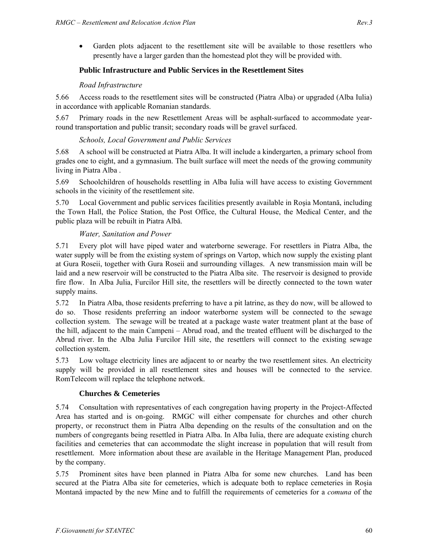Garden plots adjacent to the resettlement site will be available to those resettlers who presently have a larger garden than the homestead plot they will be provided with.

## **Public Infrastructure and Public Services in the Resettlement Sites**

#### *Road Infrastructure*

5.66 Access roads to the resettlement sites will be constructed (Piatra Alba) or upgraded (Alba Iulia) in accordance with applicable Romanian standards.

5.67 Primary roads in the new Resettlement Areas will be asphalt-surfaced to accommodate yearround transportation and public transit; secondary roads will be gravel surfaced.

#### *Schools, Local Government and Public Services*

5.68 A school will be constructed at Piatra Alba. It will include a kindergarten, a primary school from grades one to eight, and a gymnasium. The built surface will meet the needs of the growing community living in Piatra Alba .

5.69 Schoolchildren of households resettling in Alba Iulia will have access to existing Government schools in the vicinity of the resettlement site.

5.70 Local Government and public services facilities presently available in Roşia Montană, including the Town Hall, the Police Station, the Post Office, the Cultural House, the Medical Center, and the public plaza will be rebuilt in Piatra Albă.

#### *Water, Sanitation and Power*

5.71 Every plot will have piped water and waterborne sewerage. For resettlers in Piatra Alba, the water supply will be from the existing system of springs on Vartop, which now supply the existing plant at Gura Roseii, together with Gura Roseii and surrounding villages. A new transmission main will be laid and a new reservoir will be constructed to the Piatra Alba site. The reservoir is designed to provide fire flow. In Alba Julia, Furcilor Hill site, the resettlers will be directly connected to the town water supply mains.

5.72 In Piatra Alba, those residents preferring to have a pit latrine, as they do now, will be allowed to do so. Those residents preferring an indoor waterborne system will be connected to the sewage collection system. The sewage will be treated at a package waste water treatment plant at the base of the hill, adjacent to the main Campeni – Abrud road, and the treated effluent will be discharged to the Abrud river. In the Alba Julia Furcilor Hill site, the resettlers will connect to the existing sewage collection system.

5.73 Low voltage electricity lines are adjacent to or nearby the two resettlement sites. An electricity supply will be provided in all resettlement sites and houses will be connected to the service. RomTelecom will replace the telephone network.

#### **Churches & Cemeteries**

5.74 Consultation with representatives of each congregation having property in the Project-Affected Area has started and is on-going. RMGC will either compensate for churches and other church property, or reconstruct them in Piatra Alba depending on the results of the consultation and on the numbers of congregants being resettled in Piatra Alba. In Alba Iulia, there are adequate existing church facilities and cemeteries that can accommodate the slight increase in population that will result from resettlement. More information about these are available in the Heritage Management Plan, produced by the company.

5.75 Prominent sites have been planned in Piatra Alba for some new churches. Land has been secured at the Piatra Alba site for cemeteries, which is adequate both to replace cemeteries in Roşia Montană impacted by the new Mine and to fulfill the requirements of cemeteries for a *comuna* of the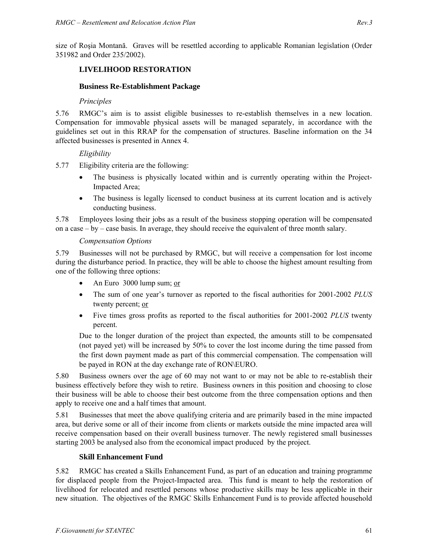size of Roşia Montană. Graves will be resettled according to applicable Romanian legislation (Order 351982 and Order 235/2002).

# **LIVELIHOOD RESTORATION**

## **Business Re-Establishment Package**

## *Principles*

5.76 RMGC's aim is to assist eligible businesses to re-establish themselves in a new location. Compensation for immovable physical assets will be managed separately, in accordance with the guidelines set out in this RRAP for the compensation of structures. Baseline information on the 34 affected businesses is presented in Annex 4.

## *Eligibility*

5.77 Eligibility criteria are the following:

- The business is physically located within and is currently operating within the Project-Impacted Area;
- The business is legally licensed to conduct business at its current location and is actively conducting business.

5.78 Employees losing their jobs as a result of the business stopping operation will be compensated on a case – by – case basis. In average, they should receive the equivalent of three month salary.

#### *Compensation Options*

5.79 Businesses will not be purchased by RMGC, but will receive a compensation for lost income during the disturbance period. In practice, they will be able to choose the highest amount resulting from one of the following three options:

- An Euro 3000 lump sum; or
- The sum of one year's turnover as reported to the fiscal authorities for 2001-2002 *PLUS* twenty percent; or
- Five times gross profits as reported to the fiscal authorities for 2001-2002 *PLUS* twenty percent.

Due to the longer duration of the project than expected, the amounts still to be compensated (not payed yet) will be increased by 50% to cover the lost income during the time passed from the first down payment made as part of this commercial compensation. The compensation will be payed in RON at the day exchange rate of RON\EURO.

5.80 Business owners over the age of 60 may not want to or may not be able to re-establish their business effectively before they wish to retire. Business owners in this position and choosing to close their business will be able to choose their best outcome from the three compensation options and then apply to receive one and a half times that amount.

5.81 Businesses that meet the above qualifying criteria and are primarily based in the mine impacted area, but derive some or all of their income from clients or markets outside the mine impacted area will receive compensation based on their overall business turnover. The newly registered small businesses starting 2003 be analysed also from the economical impact produced by the project.

# **Skill Enhancement Fund**

5.82 RMGC has created a Skills Enhancement Fund, as part of an education and training programme for displaced people from the Project-Impacted area. This fund is meant to help the restoration of livelihood for relocated and resettled persons whose productive skills may be less applicable in their new situation. The objectives of the RMGC Skills Enhancement Fund is to provide affected household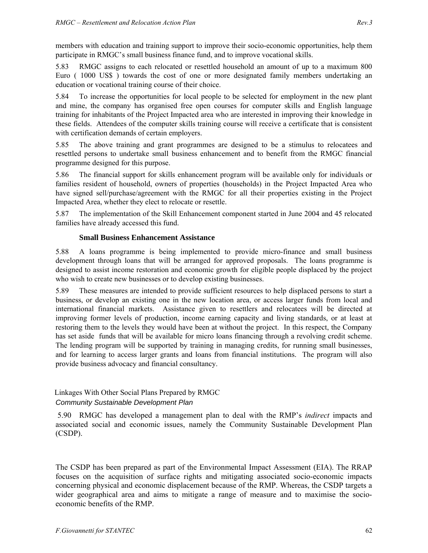members with education and training support to improve their socio-economic opportunities, help them participate in RMGC's small business finance fund, and to improve vocational skills.

5.83 RMGC assigns to each relocated or resettled household an amount of up to a maximum 800 Euro ( 1000 US\$ ) towards the cost of one or more designated family members undertaking an education or vocational training course of their choice.

5.84 To increase the opportunities for local people to be selected for employment in the new plant and mine, the company has organised free open courses for computer skills and English language training for inhabitants of the Project Impacted area who are interested in improving their knowledge in these fields. Attendees of the computer skills training course will receive a certificate that is consistent with certification demands of certain employers.

5.85 The above training and grant programmes are designed to be a stimulus to relocatees and resettled persons to undertake small business enhancement and to benefit from the RMGC financial programme designed for this purpose.

5.86 The financial support for skills enhancement program will be available only for individuals or families resident of household, owners of properties (households) in the Project Impacted Area who have signed sell/purchase/agreement with the RMGC for all their properties existing in the Project Impacted Area, whether they elect to relocate or resettle.

5.87 The implementation of the Skill Enhancement component started in June 2004 and 45 relocated families have already accessed this fund.

#### **Small Business Enhancement Assistance**

5.88 A loans programme is being implemented to provide micro-finance and small business development through loans that will be arranged for approved proposals. The loans programme is designed to assist income restoration and economic growth for eligible people displaced by the project who wish to create new businesses or to develop existing businesses.

5.89 These measures are intended to provide sufficient resources to help displaced persons to start a business, or develop an existing one in the new location area, or access larger funds from local and international financial markets. Assistance given to resettlers and relocatees will be directed at improving former levels of production, income earning capacity and living standards, or at least at restoring them to the levels they would have been at without the project. In this respect, the Company has set aside funds that will be available for micro loans financing through a revolving credit scheme. The lending program will be supported by training in managing credits, for running small businesses, and for learning to access larger grants and loans from financial institutions. The program will also provide business advocacy and financial consultancy.

Linkages With Other Social Plans Prepared by RMGC

## *Community Sustainable Development Plan*

 5.90 RMGC has developed a management plan to deal with the RMP's *indirect* impacts and associated social and economic issues, namely the Community Sustainable Development Plan (CSDP).

The CSDP has been prepared as part of the Environmental Impact Assessment (EIA). The RRAP focuses on the acquisition of surface rights and mitigating associated socio-economic impacts concerning physical and economic displacement because of the RMP. Whereas, the CSDP targets a wider geographical area and aims to mitigate a range of measure and to maximise the socioeconomic benefits of the RMP.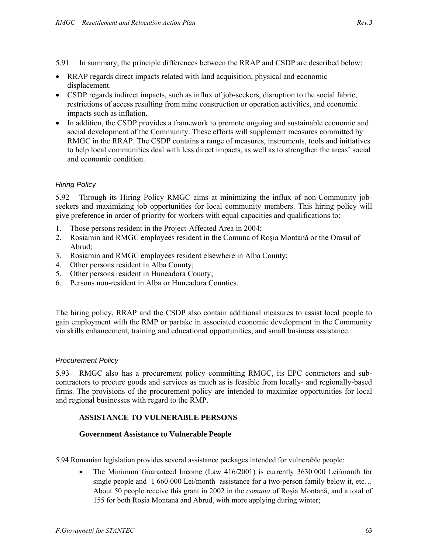- 5.91 In summary, the principle differences between the RRAP and CSDP are described below:
- RRAP regards direct impacts related with land acquisition, physical and economic displacement.
- CSDP regards indirect impacts, such as influx of job-seekers, disruption to the social fabric, restrictions of access resulting from mine construction or operation activities, and economic impacts such as inflation.
- In addition, the CSDP provides a framework to promote ongoing and sustainable economic and social development of the Community. These efforts will supplement measures committed by RMGC in the RRAP. The CSDP contains a range of measures, instruments, tools and initiatives to help local communities deal with less direct impacts, as well as to strengthen the areas' social and economic condition.

## *Hiring Policy*

5.92 Through its Hiring Policy RMGC aims at minimizing the influx of non-Community jobseekers and maximizing job opportunities for local community members. This hiring policy will give preference in order of priority for workers with equal capacities and qualifications to:

- 1. Those persons resident in the Project-Affected Area in 2004;
- 2. Rosiamin and RMGC employees resident in the Comuna of Roşia Montană or the Orasul of Abrud;
- 3. Rosiamin and RMGC employees resident elsewhere in Alba County;
- 4. Other persons resident in Alba County;
- 5. Other persons resident in Huneadora County;
- 6. Persons non-resident in Alba or Huneadora Counties.

The hiring policy, RRAP and the CSDP also contain additional measures to assist local people to gain employment with the RMP or partake in associated economic development in the Community via skills enhancement, training and educational opportunities, and small business assistance.

#### *Procurement Policy*

5.93 RMGC also has a procurement policy committing RMGC, its EPC contractors and subcontractors to procure goods and services as much as is feasible from locally- and regionally-based firms. The provisions of the procurement policy are intended to maximize opportunities for local and regional businesses with regard to the RMP.

#### **ASSISTANCE TO VULNERABLE PERSONS**

#### **Government Assistance to Vulnerable People**

5.94 Romanian legislation provides several assistance packages intended for vulnerable people:

• The Minimum Guaranteed Income (Law 416/2001) is currently 3630 000 Lei/month for single people and 1 660 000 Lei/month assistance for a two-person family below it, etc... About 50 people receive this grant in 2002 in the *comuna* of Roşia Montană, and a total of 155 for both Roşia Montană and Abrud, with more applying during winter;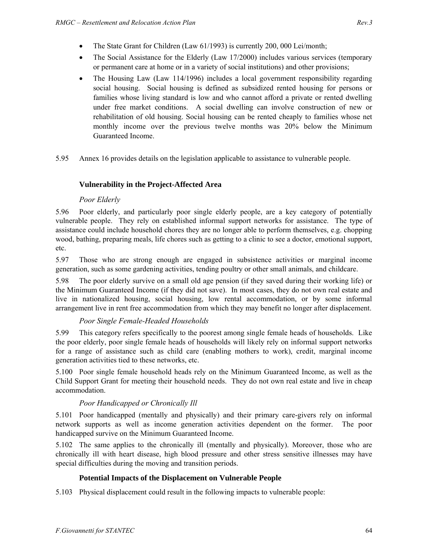- The Social Assistance for the Elderly (Law 17/2000) includes various services (temporary or permanent care at home or in a variety of social institutions) and other provisions;
- The Housing Law (Law 114/1996) includes a local government responsibility regarding social housing. Social housing is defined as subsidized rented housing for persons or families whose living standard is low and who cannot afford a private or rented dwelling under free market conditions. A social dwelling can involve construction of new or rehabilitation of old housing. Social housing can be rented cheaply to families whose net monthly income over the previous twelve months was 20% below the Minimum Guaranteed Income.

5.95 Annex 16 provides details on the legislation applicable to assistance to vulnerable people.

# **Vulnerability in the Project-Affected Area**

# *Poor Elderly*

5.96 Poor elderly, and particularly poor single elderly people, are a key category of potentially vulnerable people. They rely on established informal support networks for assistance. The type of assistance could include household chores they are no longer able to perform themselves, e.g. chopping wood, bathing, preparing meals, life chores such as getting to a clinic to see a doctor, emotional support, etc.

5.97 Those who are strong enough are engaged in subsistence activities or marginal income generation, such as some gardening activities, tending poultry or other small animals, and childcare.

5.98 The poor elderly survive on a small old age pension (if they saved during their working life) or the Minimum Guaranteed Income (if they did not save). In most cases, they do not own real estate and live in nationalized housing, social housing, low rental accommodation, or by some informal arrangement live in rent free accommodation from which they may benefit no longer after displacement.

# *Poor Single Female-Headed Households*

5.99 This category refers specifically to the poorest among single female heads of households. Like the poor elderly, poor single female heads of households will likely rely on informal support networks for a range of assistance such as child care (enabling mothers to work), credit, marginal income generation activities tied to these networks, etc.

5.100 Poor single female household heads rely on the Minimum Guaranteed Income, as well as the Child Support Grant for meeting their household needs. They do not own real estate and live in cheap accommodation.

# *Poor Handicapped or Chronically Ill*

5.101 Poor handicapped (mentally and physically) and their primary care-givers rely on informal network supports as well as income generation activities dependent on the former. The poor handicapped survive on the Minimum Guaranteed Income.

5.102 The same applies to the chronically ill (mentally and physically). Moreover, those who are chronically ill with heart disease, high blood pressure and other stress sensitive illnesses may have special difficulties during the moving and transition periods.

# **Potential Impacts of the Displacement on Vulnerable People**

5.103 Physical displacement could result in the following impacts to vulnerable people: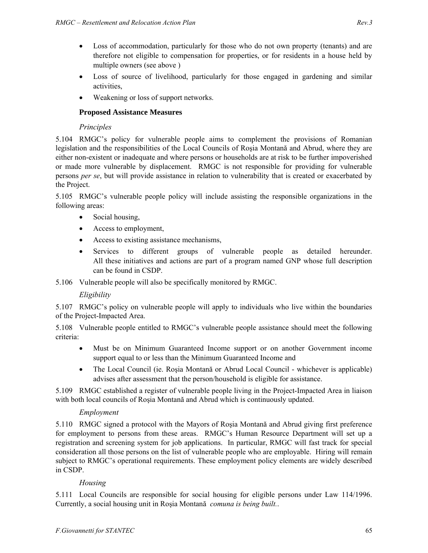- Loss of accommodation, particularly for those who do not own property (tenants) and are therefore not eligible to compensation for properties, or for residents in a house held by multiple owners (see above )
- Loss of source of livelihood, particularly for those engaged in gardening and similar activities,
- Weakening or loss of support networks.

## **Proposed Assistance Measures**

## *Principles*

5.104 RMGC's policy for vulnerable people aims to complement the provisions of Romanian legislation and the responsibilities of the Local Councils of Roşia Montană and Abrud, where they are either non-existent or inadequate and where persons or households are at risk to be further impoverished or made more vulnerable by displacement. RMGC is not responsible for providing for vulnerable persons *per se*, but will provide assistance in relation to vulnerability that is created or exacerbated by the Project.

5.105 RMGC's vulnerable people policy will include assisting the responsible organizations in the following areas:

- Social housing,
- Access to employment,
- Access to existing assistance mechanisms,
- Services to different groups of vulnerable people as detailed hereunder. All these initiatives and actions are part of a program named GNP whose full description can be found in CSDP.

5.106 Vulnerable people will also be specifically monitored by RMGC.

# *Eligibility*

5.107 RMGC's policy on vulnerable people will apply to individuals who live within the boundaries of the Project-Impacted Area.

5.108 Vulnerable people entitled to RMGC's vulnerable people assistance should meet the following criteria:

- Must be on Minimum Guaranteed Income support or on another Government income support equal to or less than the Minimum Guaranteed Income and
- The Local Council (ie. Rosia Montană or Abrud Local Council whichever is applicable) advises after assessment that the person/household is eligible for assistance.

5.109 RMGC established a register of vulnerable people living in the Project-Impacted Area in liaison with both local councils of Roşia Montană and Abrud which is continuously updated.

# *Employment*

5.110 RMGC signed a protocol with the Mayors of Roşia Montană and Abrud giving first preference for employment to persons from these areas. RMGC's Human Resource Department will set up a registration and screening system for job applications. In particular, RMGC will fast track for special consideration all those persons on the list of vulnerable people who are employable. Hiring will remain subject to RMGC's operational requirements. These employment policy elements are widely described in CSDP.

# *Housing*

5.111 Local Councils are responsible for social housing for eligible persons under Law 114/1996. Currently, a social housing unit in Roşia Montană *comuna is being built.*.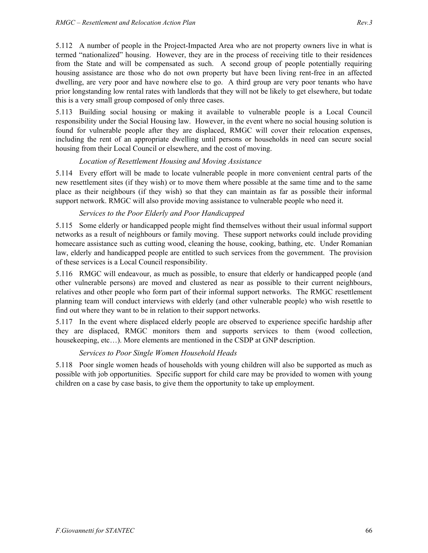5.112 A number of people in the Project-Impacted Area who are not property owners live in what is termed "nationalized" housing. However, they are in the process of receiving title to their residences from the State and will be compensated as such. A second group of people potentially requiring housing assistance are those who do not own property but have been living rent-free in an affected dwelling, are very poor and have nowhere else to go. A third group are very poor tenants who have prior longstanding low rental rates with landlords that they will not be likely to get elsewhere, but todate this is a very small group composed of only three cases.

5.113 Building social housing or making it available to vulnerable people is a Local Council responsibility under the Social Housing law. However, in the event where no social housing solution is found for vulnerable people after they are displaced, RMGC will cover their relocation expenses, including the rent of an appropriate dwelling until persons or households in need can secure social housing from their Local Council or elsewhere, and the cost of moving.

#### *Location of Resettlement Housing and Moving Assistance*

5.114 Every effort will be made to locate vulnerable people in more convenient central parts of the new resettlement sites (if they wish) or to move them where possible at the same time and to the same place as their neighbours (if they wish) so that they can maintain as far as possible their informal support network. RMGC will also provide moving assistance to vulnerable people who need it.

#### *Services to the Poor Elderly and Poor Handicapped*

5.115 Some elderly or handicapped people might find themselves without their usual informal support networks as a result of neighbours or family moving. These support networks could include providing homecare assistance such as cutting wood, cleaning the house, cooking, bathing, etc. Under Romanian law, elderly and handicapped people are entitled to such services from the government. The provision of these services is a Local Council responsibility.

5.116 RMGC will endeavour, as much as possible, to ensure that elderly or handicapped people (and other vulnerable persons) are moved and clustered as near as possible to their current neighbours, relatives and other people who form part of their informal support networks. The RMGC resettlement planning team will conduct interviews with elderly (and other vulnerable people) who wish resettle to find out where they want to be in relation to their support networks.

5.117 In the event where displaced elderly people are observed to experience specific hardship after they are displaced, RMGC monitors them and supports services to them (wood collection, housekeeping, etc...). More elements are mentioned in the CSDP at GNP description.

#### *Services to Poor Single Women Household Heads*

5.118 Poor single women heads of households with young children will also be supported as much as possible with job opportunities. Specific support for child care may be provided to women with young children on a case by case basis, to give them the opportunity to take up employment.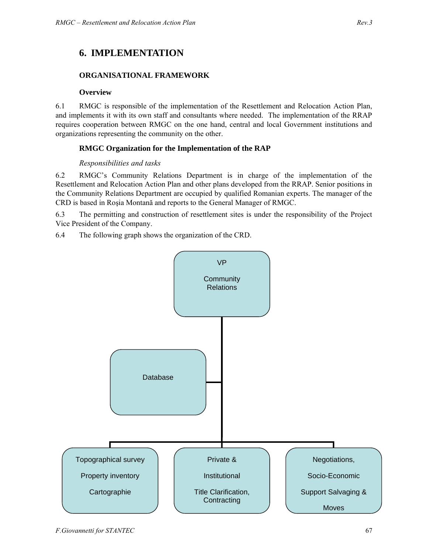# **6. IMPLEMENTATION**

### **ORGANISATIONAL FRAMEWORK**

#### **Overview**

6.1 RMGC is responsible of the implementation of the Resettlement and Relocation Action Plan, and implements it with its own staff and consultants where needed. The implementation of the RRAP requires cooperation between RMGC on the one hand, central and local Government institutions and organizations representing the community on the other.

### **RMGC Organization for the Implementation of the RAP**

#### *Responsibilities and tasks*

6.2 RMGC's Community Relations Department is in charge of the implementation of the Resettlement and Relocation Action Plan and other plans developed from the RRAP. Senior positions in the Community Relations Department are occupied by qualified Romanian experts. The manager of the CRD is based in Roşia Montană and reports to the General Manager of RMGC.

6.3 The permitting and construction of resettlement sites is under the responsibility of the Project Vice President of the Company.

6.4 The following graph shows the organization of the CRD.

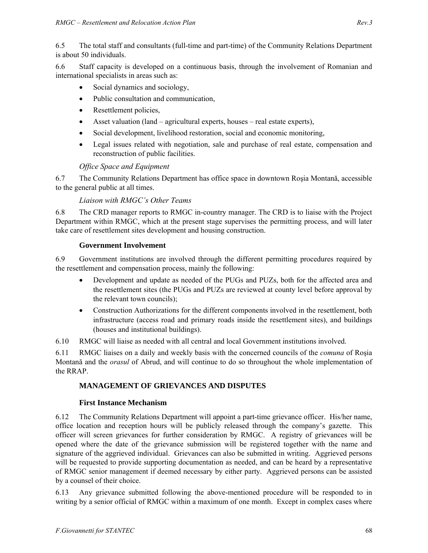6.5 The total staff and consultants (full-time and part-time) of the Community Relations Department is about 50 individuals.

6.6 Staff capacity is developed on a continuous basis, through the involvement of Romanian and international specialists in areas such as:

- Social dynamics and sociology,
- Public consultation and communication,
- Resettlement policies,
- Asset valuation (land agricultural experts, houses real estate experts),
- Social development, livelihood restoration, social and economic monitoring,
- Legal issues related with negotiation, sale and purchase of real estate, compensation and reconstruction of public facilities.

### *Office Space and Equipment*

6.7 The Community Relations Department has office space in downtown Roşia Montană, accessible to the general public at all times.

#### *Liaison with RMGC's Other Teams*

6.8 The CRD manager reports to RMGC in-country manager. The CRD is to liaise with the Project Department within RMGC, which at the present stage supervises the permitting process, and will later take care of resettlement sites development and housing construction.

#### **Government Involvement**

6.9 Government institutions are involved through the different permitting procedures required by the resettlement and compensation process, mainly the following:

- Development and update as needed of the PUGs and PUZs, both for the affected area and the resettlement sites (the PUGs and PUZs are reviewed at county level before approval by the relevant town councils);
- Construction Authorizations for the different components involved in the resettlement, both infrastructure (access road and primary roads inside the resettlement sites), and buildings (houses and institutional buildings).

6.10 RMGC will liaise as needed with all central and local Government institutions involved.

6.11 RMGC liaises on a daily and weekly basis with the concerned councils of the *comuna* of Roşia Montană and the *orasul* of Abrud, and will continue to do so throughout the whole implementation of the RRAP.

## **MANAGEMENT OF GRIEVANCES AND DISPUTES**

### **First Instance Mechanism**

6.12 The Community Relations Department will appoint a part-time grievance officer. His/her name, office location and reception hours will be publicly released through the company's gazette. This officer will screen grievances for further consideration by RMGC. A registry of grievances will be opened where the date of the grievance submission will be registered together with the name and signature of the aggrieved individual. Grievances can also be submitted in writing. Aggrieved persons will be requested to provide supporting documentation as needed, and can be heard by a representative of RMGC senior management if deemed necessary by either party. Aggrieved persons can be assisted by a counsel of their choice.

6.13 Any grievance submitted following the above-mentioned procedure will be responded to in writing by a senior official of RMGC within a maximum of one month. Except in complex cases where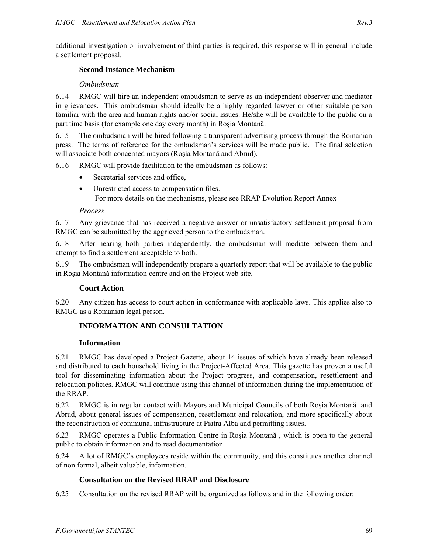### **Second Instance Mechanism**

### *Ombudsman*

6.14 RMGC will hire an independent ombudsman to serve as an independent observer and mediator in grievances. This ombudsman should ideally be a highly regarded lawyer or other suitable person familiar with the area and human rights and/or social issues. He/she will be available to the public on a part time basis (for example one day every month) in Roşia Montană.

6.15 The ombudsman will be hired following a transparent advertising process through the Romanian press. The terms of reference for the ombudsman's services will be made public. The final selection will associate both concerned mayors (Roşia Montană and Abrud).

6.16 RMGC will provide facilitation to the ombudsman as follows:

- Secretarial services and office,
- Unrestricted access to compensation files. For more details on the mechanisms, please see RRAP Evolution Report Annex

### *Process*

6.17 Any grievance that has received a negative answer or unsatisfactory settlement proposal from RMGC can be submitted by the aggrieved person to the ombudsman.

6.18 After hearing both parties independently, the ombudsman will mediate between them and attempt to find a settlement acceptable to both.

6.19 The ombudsman will independently prepare a quarterly report that will be available to the public in Roşia Montană information centre and on the Project web site.

### **Court Action**

6.20 Any citizen has access to court action in conformance with applicable laws. This applies also to RMGC as a Romanian legal person.

## **INFORMATION AND CONSULTATION**

### **Information**

6.21 RMGC has developed a Project Gazette, about 14 issues of which have already been released and distributed to each household living in the Project-Affected Area. This gazette has proven a useful tool for disseminating information about the Project progress, and compensation, resettlement and relocation policies. RMGC will continue using this channel of information during the implementation of the RRAP.

6.22 RMGC is in regular contact with Mayors and Municipal Councils of both Roşia Montană and Abrud, about general issues of compensation, resettlement and relocation, and more specifically about the reconstruction of communal infrastructure at Piatra Alba and permitting issues.

6.23 RMGC operates a Public Information Centre in Roşia Montană , which is open to the general public to obtain information and to read documentation.

6.24 A lot of RMGC's employees reside within the community, and this constitutes another channel of non formal, albeit valuable, information.

## **Consultation on the Revised RRAP and Disclosure**

6.25 Consultation on the revised RRAP will be organized as follows and in the following order: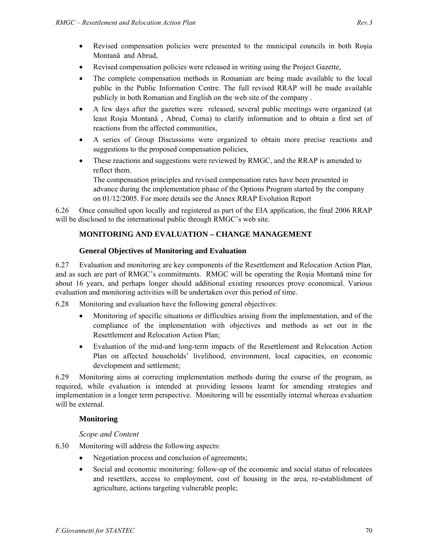- Revised compensation policies were presented to the municipal councils in both Rosia Montană and Abrud,
- Revised compensation policies were released in writing using the Project Gazette,
- The complete compensation methods in Romanian are being made available to the local public in the Public Information Centre. The full revised RRAP will be made available publicly in both Romanian and English on the web site of the company .
- A few days after the gazettes were released, several public meetings were organized (at least Roşia Montană , Abrud, Corna) to clarify information and to obtain a first set of reactions from the affected communities,
- A series of Group Discussions were organized to obtain more precise reactions and suggestions to the proposed compensation policies,
- These reactions and suggestions were reviewed by RMGC, and the RRAP is amended to reflect them.

The compensation principles and revised compensation rates have been presented in advance during the implementation phase of the Options Program started by the company on 01/12/2005. For more details see the Annex RRAP Evolution Report

6.26 Once consulted upon locally and registered as part of the EIA application, the final 2006 RRAP will be disclosed to the international public through RMGC's web site.

# **MONITORING AND EVALUATION – CHANGE MANAGEMENT**

### **General Objectives of Monitoring and Evaluation**

6.27 Evaluation and monitoring are key components of the Resettlement and Relocation Action Plan, and as such are part of RMGC's commitments. RMGC will be operating the Roşia Montană mine for about 16 years, and perhaps longer should additional existing resources prove economical. Various evaluation and monitoring activities will be undertaken over this period of time.

6.28 Monitoring and evaluation have the following general objectives:

- Monitoring of specific situations or difficulties arising from the implementation, and of the compliance of the implementation with objectives and methods as set out in the Resettlement and Relocation Action Plan;
- Evaluation of the mid-and long-term impacts of the Resettlement and Relocation Action Plan on affected households' livelihood, environment, local capacities, on economic development and settlement;

6.29 Monitoring aims at correcting implementation methods during the course of the program, as required, while evaluation is intended at providing lessons learnt for amending strategies and implementation in a longer term perspective. Monitoring will be essentially internal whereas evaluation will be external.

## **Monitoring**

### *Scope and Content*

- 6.30 Monitoring will address the following aspects:
	- Negotiation process and conclusion of agreements;
	- Social and economic monitoring: follow-up of the economic and social status of relocatees and resettlers, access to employment, cost of housing in the area, re-establishment of agriculture, actions targeting vulnerable people;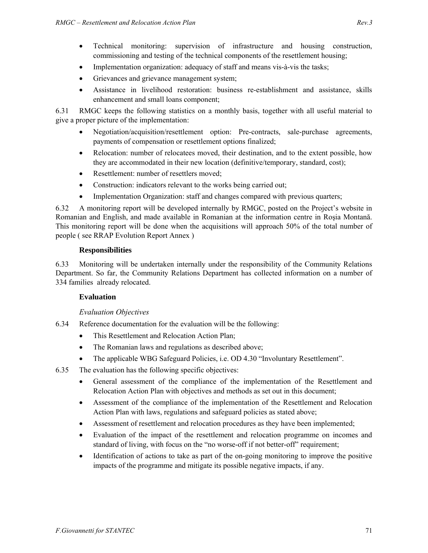- Technical monitoring: supervision of infrastructure and housing construction, commissioning and testing of the technical components of the resettlement housing;
- Implementation organization: adequacy of staff and means vis-à-vis the tasks;
- Grievances and grievance management system;
- Assistance in livelihood restoration: business re-establishment and assistance, skills enhancement and small loans component;

6.31 RMGC keeps the following statistics on a monthly basis, together with all useful material to give a proper picture of the implementation:

- Negotiation/acquisition/resettlement option: Pre-contracts, sale-purchase agreements, payments of compensation or resettlement options finalized;
- Relocation: number of relocatees moved, their destination, and to the extent possible, how they are accommodated in their new location (definitive/temporary, standard, cost);
- Resettlement: number of resettlers moved;
- Construction: indicators relevant to the works being carried out;
- Implementation Organization: staff and changes compared with previous quarters;

6.32 A monitoring report will be developed internally by RMGC, posted on the Project's website in Romanian and English, and made available in Romanian at the information centre in Roşia Montană. This monitoring report will be done when the acquisitions will approach 50% of the total number of people ( see RRAP Evolution Report Annex )

#### **Responsibilities**

6.33 Monitoring will be undertaken internally under the responsibility of the Community Relations Department. So far, the Community Relations Department has collected information on a number of 334 families already relocated.

### **Evaluation**

### *Evaluation Objectives*

- 6.34 Reference documentation for the evaluation will be the following:
	- This Resettlement and Relocation Action Plan:
	- The Romanian laws and regulations as described above;
	- The applicable WBG Safeguard Policies, i.e. OD 4.30 "Involuntary Resettlement".
- 6.35 The evaluation has the following specific objectives:
	- General assessment of the compliance of the implementation of the Resettlement and Relocation Action Plan with objectives and methods as set out in this document;
	- Assessment of the compliance of the implementation of the Resettlement and Relocation Action Plan with laws, regulations and safeguard policies as stated above;
	- Assessment of resettlement and relocation procedures as they have been implemented;
	- Evaluation of the impact of the resettlement and relocation programme on incomes and standard of living, with focus on the "no worse-off if not better-off" requirement;
	- Identification of actions to take as part of the on-going monitoring to improve the positive impacts of the programme and mitigate its possible negative impacts, if any.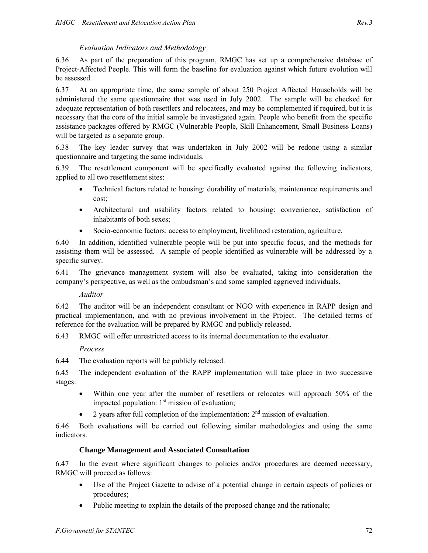### *Evaluation Indicators and Methodology*

6.36 As part of the preparation of this program, RMGC has set up a comprehensive database of Project-Affected People. This will form the baseline for evaluation against which future evolution will be assessed.

6.37 At an appropriate time, the same sample of about 250 Project Affected Households will be administered the same questionnaire that was used in July 2002. The sample will be checked for adequate representation of both resettlers and relocatees, and may be complemented if required, but it is necessary that the core of the initial sample be investigated again. People who benefit from the specific assistance packages offered by RMGC (Vulnerable People, Skill Enhancement, Small Business Loans) will be targeted as a separate group.

6.38 The key leader survey that was undertaken in July 2002 will be redone using a similar questionnaire and targeting the same individuals.

6.39 The resettlement component will be specifically evaluated against the following indicators, applied to all two resettlement sites:

- Technical factors related to housing: durability of materials, maintenance requirements and cost;
- Architectural and usability factors related to housing: convenience, satisfaction of inhabitants of both sexes;
- Socio-economic factors: access to employment, livelihood restoration, agriculture.

6.40 In addition, identified vulnerable people will be put into specific focus, and the methods for assisting them will be assessed. A sample of people identified as vulnerable will be addressed by a specific survey.

6.41 The grievance management system will also be evaluated, taking into consideration the company's perspective, as well as the ombudsman's and some sampled aggrieved individuals.

### *Auditor*

6.42 The auditor will be an independent consultant or NGO with experience in RAPP design and practical implementation, and with no previous involvement in the Project. The detailed terms of reference for the evaluation will be prepared by RMGC and publicly released.

6.43 RMGC will offer unrestricted access to its internal documentation to the evaluator.

### *Process*

6.44 The evaluation reports will be publicly released.

6.45 The independent evaluation of the RAPP implementation will take place in two successive stages:

- Within one year after the number of resetllers or relocates will approach 50% of the impacted population:  $1<sup>st</sup>$  mission of evaluation;
- 2 years after full completion of the implementation:  $2<sup>nd</sup>$  mission of evaluation.

6.46 Both evaluations will be carried out following similar methodologies and using the same indicators.

### **Change Management and Associated Consultation**

6.47 In the event where significant changes to policies and/or procedures are deemed necessary, RMGC will proceed as follows:

- Use of the Project Gazette to advise of a potential change in certain aspects of policies or procedures;
- Public meeting to explain the details of the proposed change and the rationale;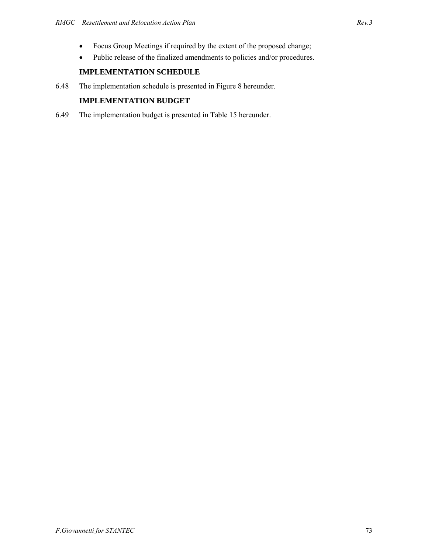- Focus Group Meetings if required by the extent of the proposed change;
- Public release of the finalized amendments to policies and/or procedures.

### **IMPLEMENTATION SCHEDULE**

6.48 The implementation schedule is presented in Figure 8 hereunder.

### **IMPLEMENTATION BUDGET**

6.49 The implementation budget is presented in Table 15 hereunder.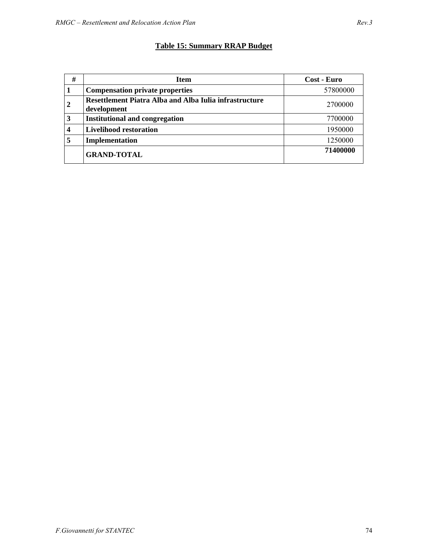# **Table 15: Summary RRAP Budget**

| #              | <b>Item</b>                                                           | Cost - Euro |
|----------------|-----------------------------------------------------------------------|-------------|
|                | <b>Compensation private properties</b>                                | 57800000    |
| $\overline{2}$ | Resettlement Piatra Alba and Alba Iulia infrastructure<br>development | 2700000     |
| 3              | <b>Institutional and congregation</b>                                 | 7700000     |
| 4              | <b>Livelihood restoration</b>                                         | 1950000     |
| 5              | Implementation                                                        | 1250000     |
|                | <b>GRAND-TOTAL</b>                                                    | 71400000    |